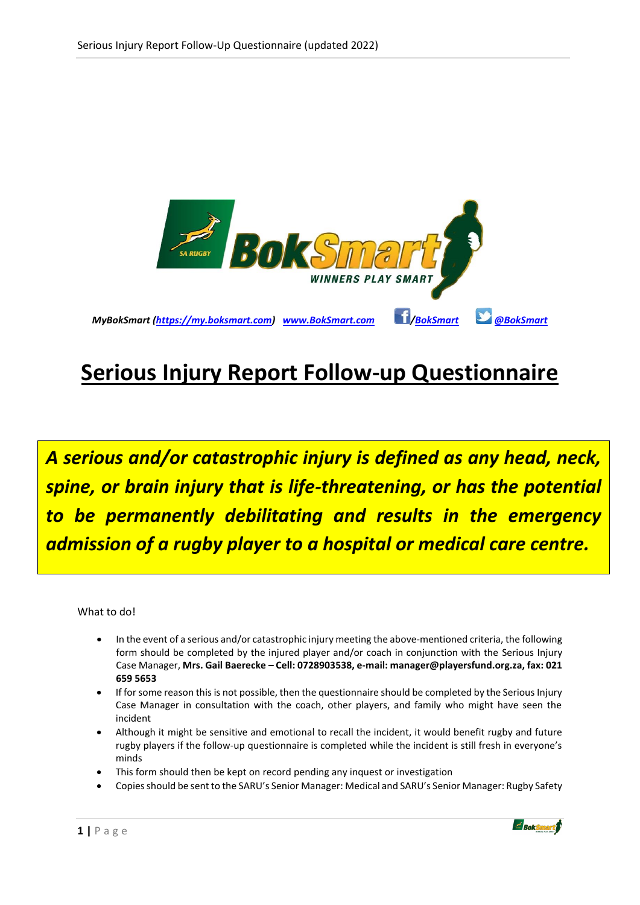

# **Serious Injury Report Follow-up Questionnaire**

*A serious and/or catastrophic injury is defined as any head, neck, spine, or brain injury that is life-threatening, or has the potential to be permanently debilitating and results in the emergency admission of a rugby player to a hospital or medical care centre.*

What to do!

- In the event of a serious and/or catastrophic injury meeting the above-mentioned criteria, the following form should be completed by the injured player and/or coach in conjunction with the Serious Injury Case Manager, **Mrs. Gail Baerecke – Cell: 0728903538, e-mail: manager@playersfund.org.za, fax: 021 659 5653**
- If for some reason this is not possible, then the questionnaire should be completed by the Serious Injury Case Manager in consultation with the coach, other players, and family who might have seen the incident
- Although it might be sensitive and emotional to recall the incident, it would benefit rugby and future rugby players if the follow-up questionnaire is completed while the incident is still fresh in everyone's minds
- This form should then be kept on record pending any inquest or investigation
- Copies should be sent to the SARU's Senior Manager: Medical and SARU's Senior Manager: Rugby Safety

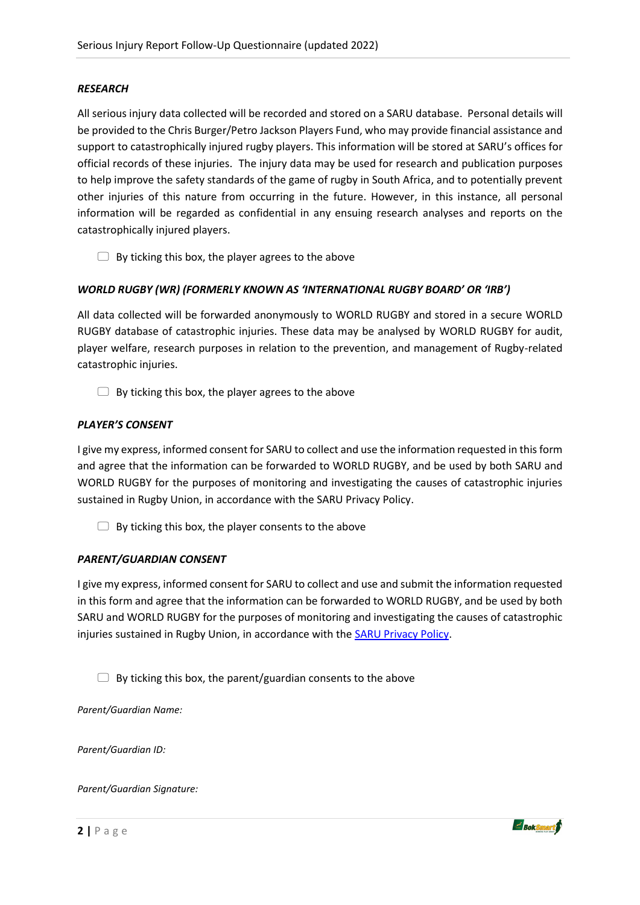#### *RESEARCH*

All serious injury data collected will be recorded and stored on a SARU database. Personal details will be provided to the Chris Burger/Petro Jackson Players Fund, who may provide financial assistance and support to catastrophically injured rugby players. This information will be stored at SARU's offices for official records of these injuries. The injury data may be used for research and publication purposes to help improve the safety standards of the game of rugby in South Africa, and to potentially prevent other injuries of this nature from occurring in the future. However, in this instance, all personal information will be regarded as confidential in any ensuing research analyses and reports on the catastrophically injured players.

 $\Box$  By ticking this box, the player agrees to the above

#### *WORLD RUGBY (WR) (FORMERLY KNOWN AS 'INTERNATIONAL RUGBY BOARD' OR 'IRB')*

All data collected will be forwarded anonymously to WORLD RUGBY and stored in a secure WORLD RUGBY database of catastrophic injuries. These data may be analysed by WORLD RUGBY for audit, player welfare, research purposes in relation to the prevention, and management of Rugby-related catastrophic injuries.

 $\Box$  By ticking this box, the player agrees to the above

#### *PLAYER'S CONSENT*

I give my express, informed consent for SARU to collect and use the information requested in this form and agree that the information can be forwarded to WORLD RUGBY, and be used by both SARU and WORLD RUGBY for the purposes of monitoring and investigating the causes of catastrophic injuries sustained in Rugby Union, in accordance with the SARU Privacy Policy.

 $\Box$  By ticking this box, the player consents to the above

#### *PARENT/GUARDIAN CONSENT*

I give my express, informed consent for SARU to collect and use and submit the information requested in this form and agree that the information can be forwarded to WORLD RUGBY, and be used by both SARU and WORLD RUGBY for the purposes of monitoring and investigating the causes of catastrophic injuries sustained in Rugby Union, in accordance with the **SARU Privacy Policy**.

 $\Box$  By ticking this box, the parent/guardian consents to the above

*Parent/Guardian Name:*

*Parent/Guardian ID:*

*Parent/Guardian Signature:*

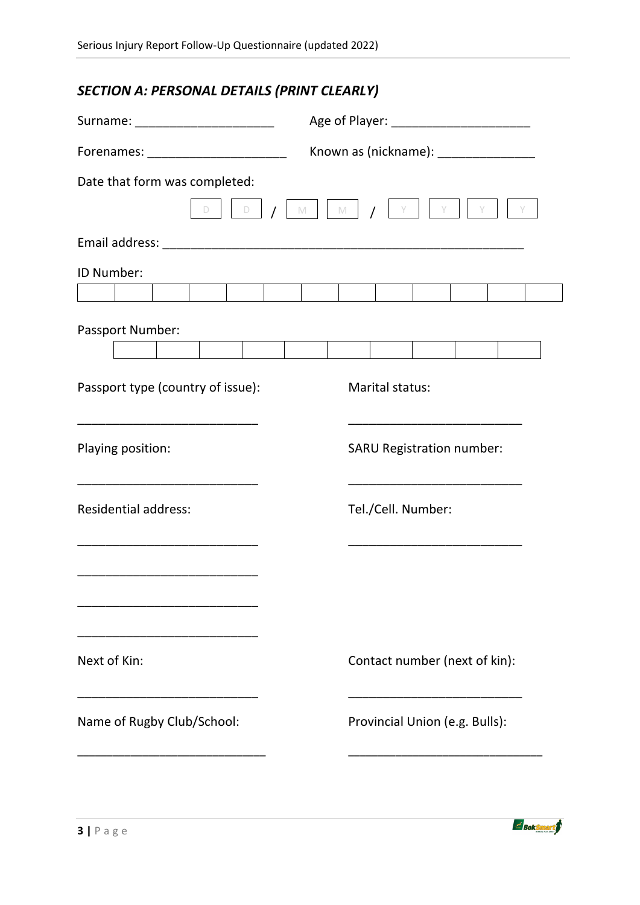# *SECTION A: PERSONAL DETAILS (PRINT CLEARLY)*

| Surname: __________________________                                                  |                                        |  |  |
|--------------------------------------------------------------------------------------|----------------------------------------|--|--|
|                                                                                      | Known as (nickname): _________________ |  |  |
| Date that form was completed:<br>$D$ $D$                                             | M     M   /<br>Y.                      |  |  |
|                                                                                      |                                        |  |  |
| ID Number:                                                                           |                                        |  |  |
|                                                                                      |                                        |  |  |
| Passport Number:                                                                     |                                        |  |  |
|                                                                                      |                                        |  |  |
| Passport type (country of issue):<br><u> 1989 - Johann John Stone, mars et al. (</u> | Marital status:                        |  |  |
| Playing position:                                                                    | <b>SARU Registration number:</b>       |  |  |
| <b>Residential address:</b>                                                          | Tel./Cell. Number:                     |  |  |
|                                                                                      |                                        |  |  |
| Next of Kin:                                                                         | Contact number (next of kin):          |  |  |
| Name of Rugby Club/School:                                                           | Provincial Union (e.g. Bulls):         |  |  |
|                                                                                      |                                        |  |  |

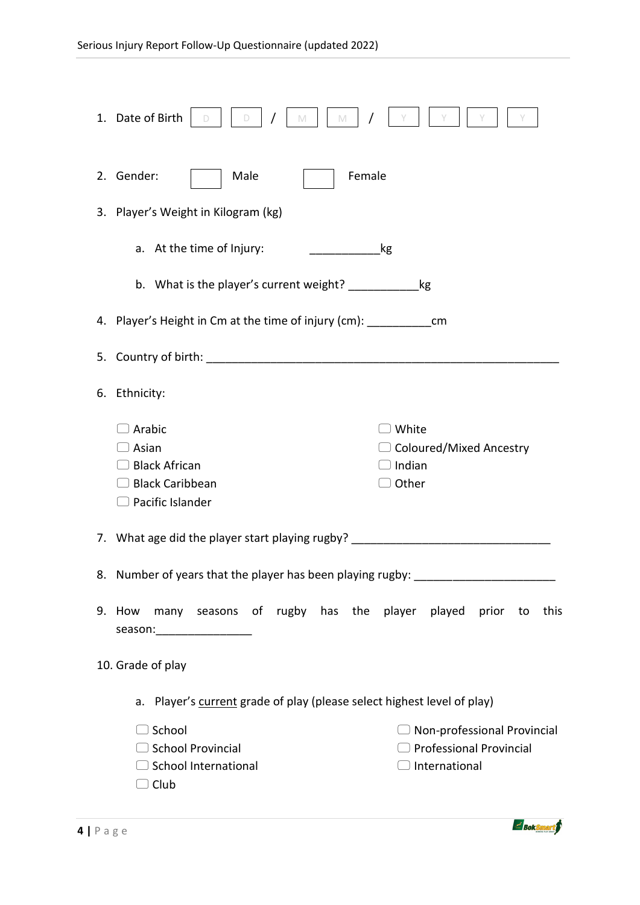|    | 1. Date of Birth<br>D<br>M<br>M                                                                                                                                                                                                              |  |  |  |  |
|----|----------------------------------------------------------------------------------------------------------------------------------------------------------------------------------------------------------------------------------------------|--|--|--|--|
|    | 2. Gender:<br>Female<br>Male                                                                                                                                                                                                                 |  |  |  |  |
|    | 3. Player's Weight in Kilogram (kg)                                                                                                                                                                                                          |  |  |  |  |
|    | a. At the time of Injury:<br>kg                                                                                                                                                                                                              |  |  |  |  |
|    | b. What is the player's current weight?<br>kg                                                                                                                                                                                                |  |  |  |  |
|    | 4. Player's Height in Cm at the time of injury (cm): ___________________________                                                                                                                                                             |  |  |  |  |
|    | 5. Country of birth:                                                                                                                                                                                                                         |  |  |  |  |
| 6. | Ethnicity:                                                                                                                                                                                                                                   |  |  |  |  |
|    | Arabic<br>White<br>Asian<br>$\Box$ Coloured/Mixed Ancestry<br>$\supset$ Indian<br><b>Black African</b><br><b>Black Caribbean</b><br>Other<br>$\Box$ Pacific Islander                                                                         |  |  |  |  |
|    | 7. What age did the player start playing rugby?                                                                                                                                                                                              |  |  |  |  |
| 8. | Number of years that the player has been playing rugby:                                                                                                                                                                                      |  |  |  |  |
|    | 9. How many seasons of rugby has the player played prior to<br>this<br>season:___________________                                                                                                                                            |  |  |  |  |
|    | 10. Grade of play                                                                                                                                                                                                                            |  |  |  |  |
|    | a. Player's current grade of play (please select highest level of play)<br>$\Box$ School<br>$\Box$ Non-professional Provincial<br><b>Professional Provincial</b><br>□ School Provincial<br>□ School International<br>$\supset$ International |  |  |  |  |
|    | $\Box$ Club                                                                                                                                                                                                                                  |  |  |  |  |

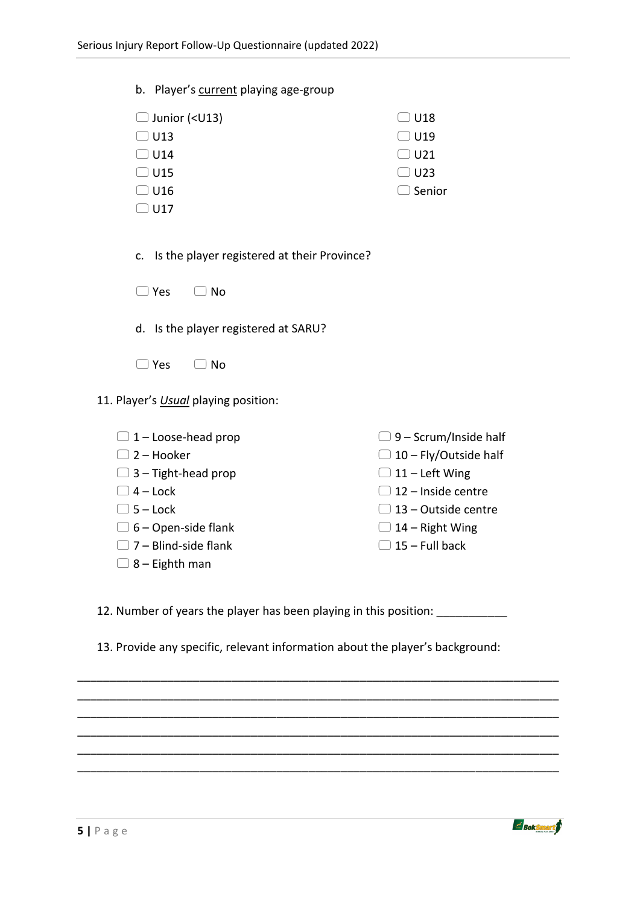|                            | b. Player's current playing age-group                               |                              |
|----------------------------|---------------------------------------------------------------------|------------------------------|
|                            | $\Box$ Junior ( <u13)< td=""><td><math>\Box</math> U18</td></u13)<> | $\Box$ U18                   |
|                            | $\Box$ U13                                                          | $\Box$ U19                   |
|                            | $\Box$ U14                                                          | $\Box$ U21                   |
|                            | $\Box$ U15                                                          | $\supseteq$ U23              |
|                            | $\Box$ U16                                                          | $\supset$ Senior             |
|                            | $\Box$ U17                                                          |                              |
| c.                         | Is the player registered at their Province?                         |                              |
|                            | $\Box$ Yes<br>$\Box$ No                                             |                              |
|                            | d. Is the player registered at SARU?                                |                              |
|                            | $\supset$ Yes<br>$\Box$ No                                          |                              |
|                            | 11. Player's Usual playing position:                                |                              |
|                            | $\Box$ 1 – Loose-head prop                                          | $\Box$ 9 – Scrum/Inside half |
| $\Box$ 2 – Hooker          |                                                                     | $\Box$ 10 – Fly/Outside half |
| $\Box$ 3 – Tight-head prop |                                                                     | $\Box$ 11 – Left Wing        |
|                            | $\Box$ 4 – Lock                                                     | $\Box$ 12 - Inside centre    |
|                            | $\Box$ 5 - Lock                                                     | $\Box$ 13 - Outside centre   |
|                            | $\Box$ 6 – Open-side flank                                          | $\Box$ 14 – Right Wing       |
|                            | $\Box$ 7 – Blind-side flank                                         | $\Box$ 15 - Full back        |
|                            | $\Box$ 8 – Eighth man                                               |                              |
|                            |                                                                     |                              |

12. Number of years the player has been playing in this position: \_\_\_\_\_\_\_\_\_\_\_\_\_

13. Provide any specific, relevant information about the player's background:

\_\_\_\_\_\_\_\_\_\_\_\_\_\_\_\_\_\_\_\_\_\_\_\_\_\_\_\_\_\_\_\_\_\_\_\_\_\_\_\_\_\_\_\_\_\_\_\_\_\_\_\_\_\_\_\_\_\_\_\_\_\_\_\_\_\_\_\_\_\_\_\_\_\_\_ \_\_\_\_\_\_\_\_\_\_\_\_\_\_\_\_\_\_\_\_\_\_\_\_\_\_\_\_\_\_\_\_\_\_\_\_\_\_\_\_\_\_\_\_\_\_\_\_\_\_\_\_\_\_\_\_\_\_\_\_\_\_\_\_\_\_\_\_\_\_\_\_\_\_\_ \_\_\_\_\_\_\_\_\_\_\_\_\_\_\_\_\_\_\_\_\_\_\_\_\_\_\_\_\_\_\_\_\_\_\_\_\_\_\_\_\_\_\_\_\_\_\_\_\_\_\_\_\_\_\_\_\_\_\_\_\_\_\_\_\_\_\_\_\_\_\_\_\_\_\_ \_\_\_\_\_\_\_\_\_\_\_\_\_\_\_\_\_\_\_\_\_\_\_\_\_\_\_\_\_\_\_\_\_\_\_\_\_\_\_\_\_\_\_\_\_\_\_\_\_\_\_\_\_\_\_\_\_\_\_\_\_\_\_\_\_\_\_\_\_\_\_\_\_\_\_ \_\_\_\_\_\_\_\_\_\_\_\_\_\_\_\_\_\_\_\_\_\_\_\_\_\_\_\_\_\_\_\_\_\_\_\_\_\_\_\_\_\_\_\_\_\_\_\_\_\_\_\_\_\_\_\_\_\_\_\_\_\_\_\_\_\_\_\_\_\_\_\_\_\_\_ \_\_\_\_\_\_\_\_\_\_\_\_\_\_\_\_\_\_\_\_\_\_\_\_\_\_\_\_\_\_\_\_\_\_\_\_\_\_\_\_\_\_\_\_\_\_\_\_\_\_\_\_\_\_\_\_\_\_\_\_\_\_\_\_\_\_\_\_\_\_\_\_\_\_\_

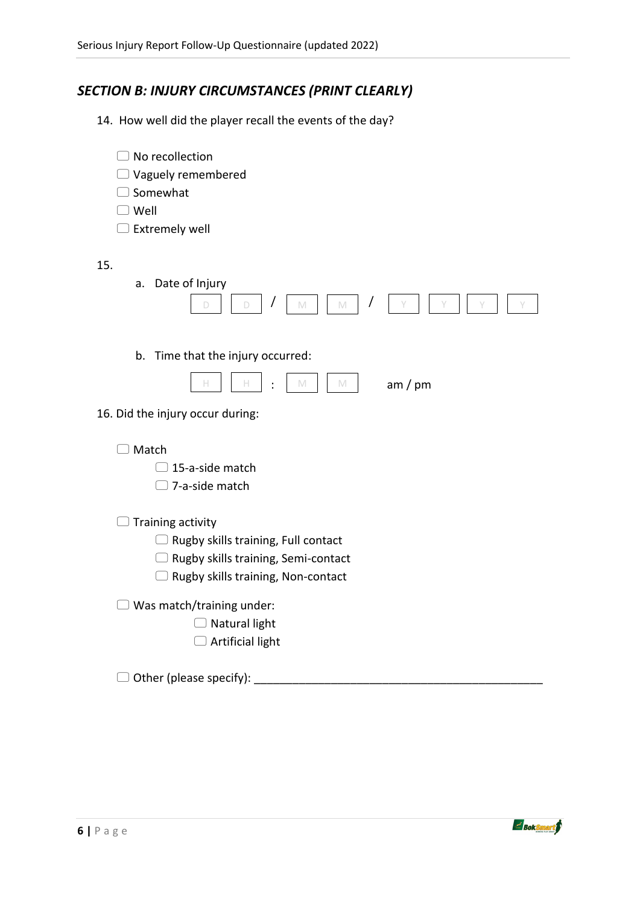# *SECTION B: INJURY CIRCUMSTANCES (PRINT CLEARLY)*

14. How well did the player recall the events of the day?

| No recollection                      |  |
|--------------------------------------|--|
| Vaguely remembered                   |  |
| Somewhat                             |  |
| )Well                                |  |
| Extremely well                       |  |
| 15.                                  |  |
| Date of Injury<br>a.                 |  |
| D<br>D<br>$\mathbb{M}$<br>M          |  |
| Time that the injury occurred:<br>b. |  |
|                                      |  |
| H<br>$\mathbb{M}$<br>am / pm<br>M    |  |
| 16. Did the injury occur during:     |  |
| Match                                |  |
| 15-a-side match                      |  |
| 7-a-side match                       |  |
| Training activity                    |  |
| Rugby skills training, Full contact  |  |
| Rugby skills training, Semi-contact  |  |
| Rugby skills training, Non-contact   |  |
| Was match/training under:            |  |
| Natural light                        |  |
| Artificial light                     |  |
|                                      |  |
| Other (please specify):              |  |

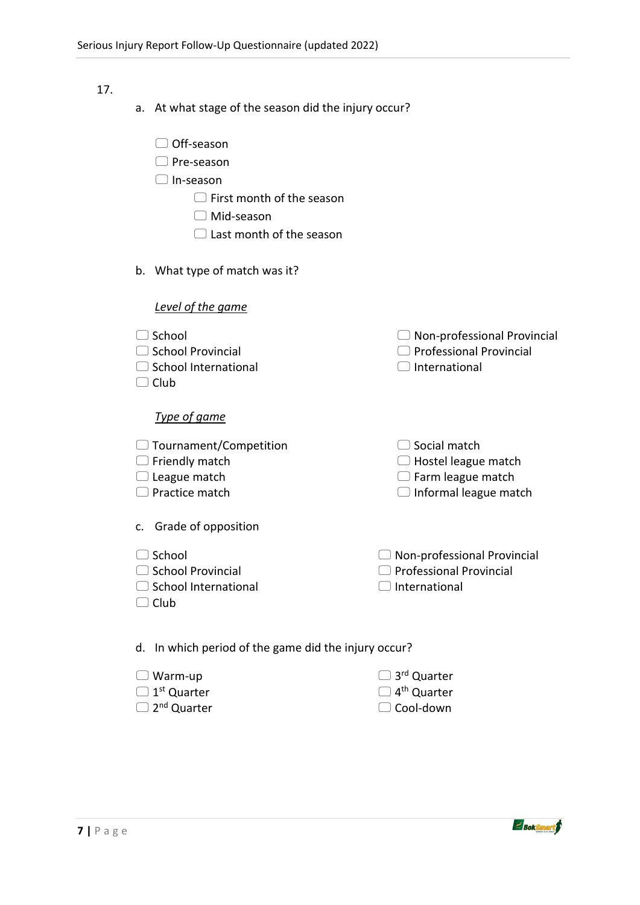#### 17.

- a. At what stage of the season did the injury occur?
	- □ Off-season
	- □ Pre-season
	- In-season
		- $\Box$  First month of the season
		- Mid-season
		- □ Last month of the season
- b. What type of match was it?

| Level of the game                                                          |                                                                                   |  |  |
|----------------------------------------------------------------------------|-----------------------------------------------------------------------------------|--|--|
| School<br><b>School Provincial</b><br><b>School International</b><br>Club  | Non-professional Provincial<br><b>Professional Provincial</b><br>International    |  |  |
| Type of game                                                               |                                                                                   |  |  |
| Tournament/Competition<br>Friendly match<br>League match<br>Practice match | Social match<br>Hostel league match<br>Farm league match<br>Informal league match |  |  |
| Grade of opposition<br>c.                                                  |                                                                                   |  |  |
| School<br><b>School Provincial</b><br>School International<br>$\Box$ Club  | Non-professional Provincial<br><b>Professional Provincial</b><br>International    |  |  |
| d. In which period of the game did the injury occur?                       |                                                                                   |  |  |

- Warm-up  $\Box$  1<sup>st</sup> Quarter  $\Box$  3<sup>rd</sup> Quarter  $\Box$  4<sup>th</sup> Quarter
- $\Box$  2<sup>nd</sup> Quarter

□ Cool-down

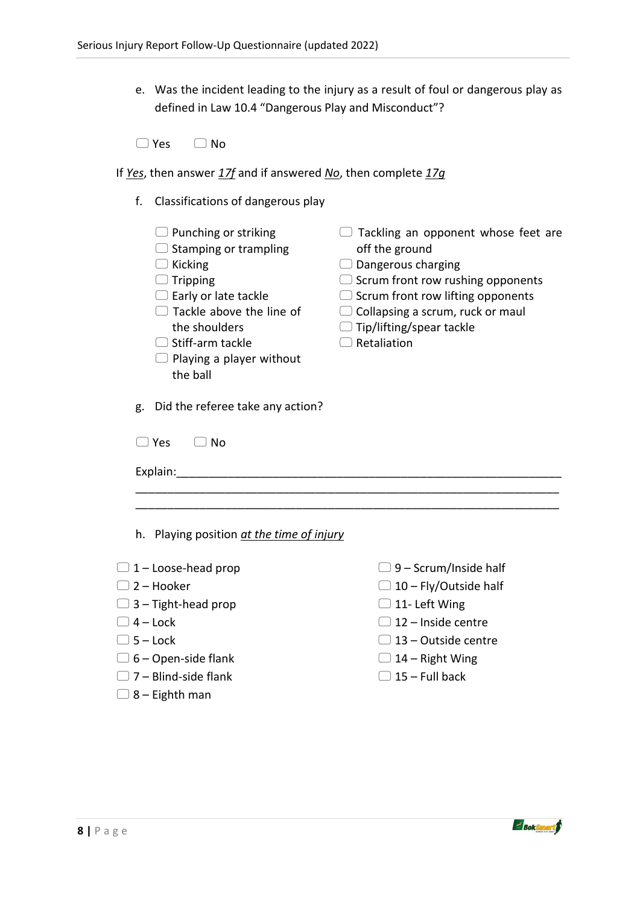e. Was the incident leading to the injury as a result of foul or dangerous play as defined in Law 10.4 "Dangerous Play and Misconduct"?

- If *Yes*, then answer *17f* and if answered *No*, then complete *17g*
	- f. Classifications of dangerous play
		- $\Box$  Punching or striking
		- $\Box$  Stamping or trampling
		- $\Box$  Kicking
		- $\Box$  Tripping
		- $\Box$  Early or late tackle
		- $\Box$  Tackle above the line of the shoulders
		- $\Box$  Stiff-arm tackle
		- $\Box$  Playing a player without the ball
- $\Box$  Tackling an opponent whose feet are off the ground
- $\Box$  Dangerous charging
- $\Box$  Scrum front row rushing opponents
- $\Box$  Scrum front row lifting opponents
- $\Box$  Collapsing a scrum, ruck or maul
- $\Box$  Tip/lifting/spear tackle
- $\Box$  Retaliation

g. Did the referee take any action?

| $\Box$ Yes $\Box$ No |  |  |  |
|----------------------|--|--|--|
| Explain:             |  |  |  |

\_\_\_\_\_\_\_\_\_\_\_\_\_\_\_\_\_\_\_\_\_\_\_\_\_\_\_\_\_\_\_\_\_\_\_\_\_\_\_\_\_\_\_\_\_\_\_\_\_\_\_\_\_\_\_\_\_\_\_\_\_\_\_\_\_\_

h. Playing position *at the time of injury*

- $\Box$  1 Loose-head prop
- $\Box$  2 Hooker
- $\Box$  3 Tight-head prop
- $\Box$  4 Lock
- $\Box$  5 Lock
- $\Box$  6 Open-side flank
- $\Box$  7 Blind-side flank
- $\Box$  8 Eighth man
- $\Box$  9 Scrum/Inside half
- $\Box$  10 Fly/Outside half
- $\Box$  11- Left Wing
- $\Box$  12 Inside centre
- $\Box$  13 Outside centre
- $\Box$  14 Right Wing
- $\Box$  15 Full back

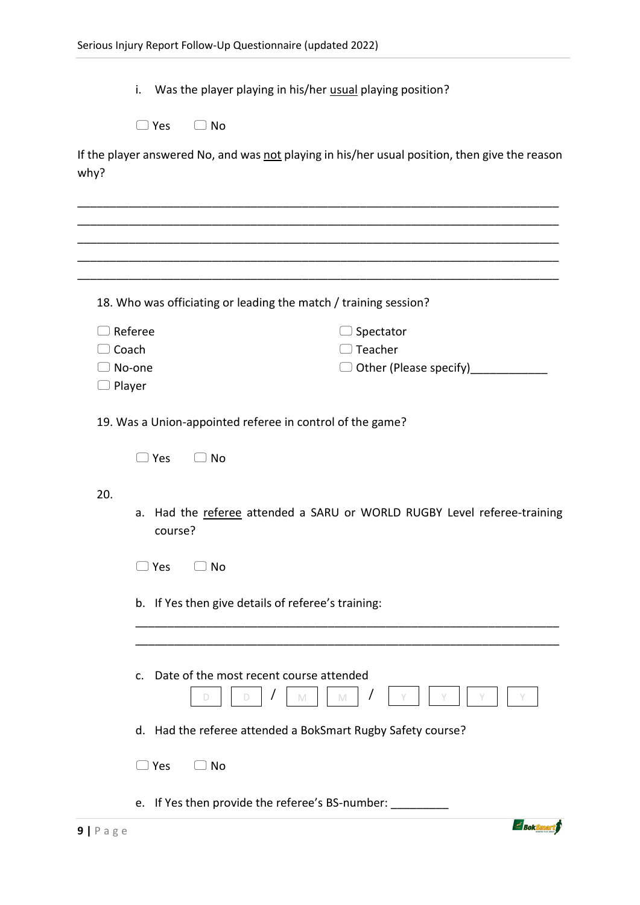i. Was the player playing in his/her usual playing position?

If the player answered No, and was not playing in his/her usual position, then give the reason why?

|               | 18. Who was officiating or leading the match / training session?                    |  |  |
|---------------|-------------------------------------------------------------------------------------|--|--|
|               | $\supset$ Referee<br>Spectator                                                      |  |  |
|               | Teacher<br>Coach                                                                    |  |  |
|               | Other (Please specify)_______<br>∋ No-one                                           |  |  |
| $\Box$ Player |                                                                                     |  |  |
|               | 19. Was a Union-appointed referee in control of the game?                           |  |  |
|               | )Yes<br>) No                                                                        |  |  |
| 20.           |                                                                                     |  |  |
|               | a. Had the referee attended a SARU or WORLD RUGBY Level referee-training<br>course? |  |  |
|               | $\Box$ Yes<br>$\Box$ No                                                             |  |  |
|               | b. If Yes then give details of referee's training:                                  |  |  |
|               |                                                                                     |  |  |
|               |                                                                                     |  |  |
|               | c. Date of the most recent course attended<br>M<br>M<br>D                           |  |  |
|               | d. Had the referee attended a BokSmart Rugby Safety course?                         |  |  |
|               | )Yes<br>) No                                                                        |  |  |
|               | e. If Yes then provide the referee's BS-number: _________                           |  |  |

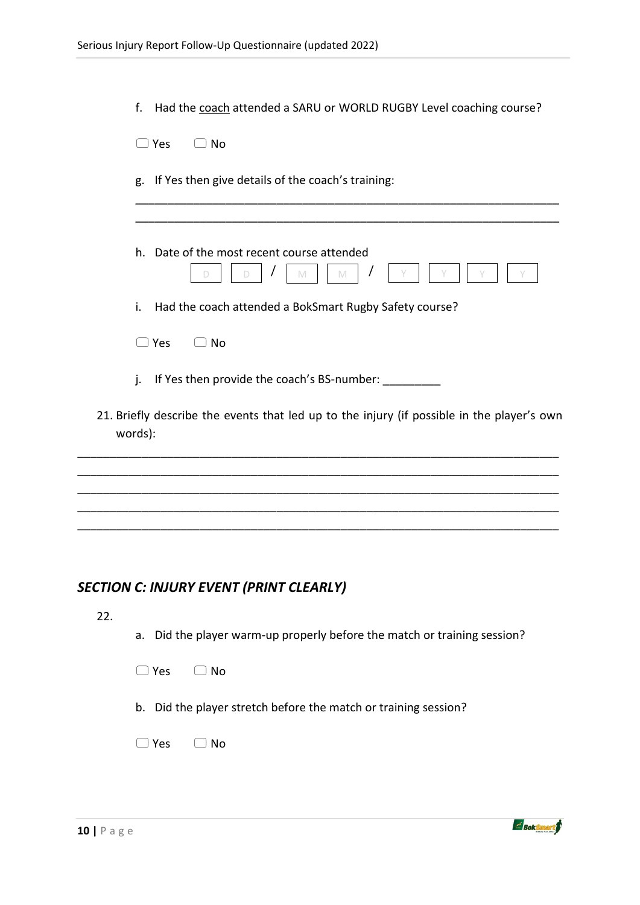| f.<br>Had the coach attended a SARU or WORLD RUGBY Level coaching course?                             |
|-------------------------------------------------------------------------------------------------------|
| ) No<br>$\supset$ Yes                                                                                 |
| g. If Yes then give details of the coach's training:                                                  |
| h. Date of the most recent course attended                                                            |
| D.<br>M<br>D<br>M                                                                                     |
| Had the coach attended a BokSmart Rugby Safety course?<br>i.                                          |
| $\Box$ Yes<br>) No                                                                                    |
| If Yes then provide the coach's BS-number: __________<br>j.                                           |
| 21. Briefly describe the events that led up to the injury (if possible in the player's own<br>words): |
|                                                                                                       |
|                                                                                                       |
|                                                                                                       |

# *SECTION C: INJURY EVENT (PRINT CLEARLY)*

22.

- a. Did the player warm-up properly before the match or training session?
- $\Box$  Yes  $\Box$  No
- b. Did the player stretch before the match or training session?
- □ Yes □ No

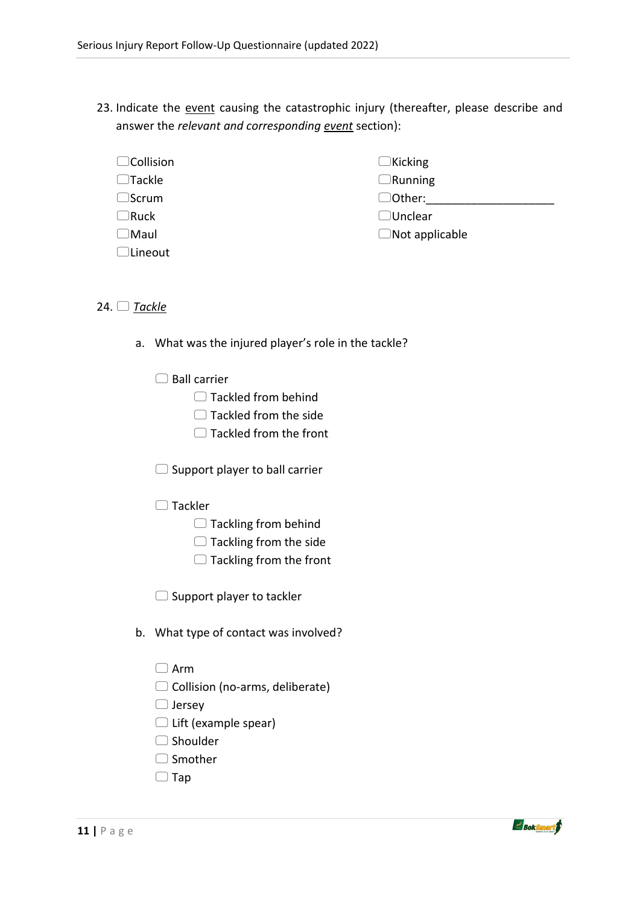- 23. Indicate the event causing the catastrophic injury (thereafter, please describe and answer the *relevant and corresponding event* section):
	- □Collision  $\Box$ Tackle  $\Box$ Scrum  $\Box$ Ruck  $\Box$ Maul □Lineout  $\Box$ Kicking  $\Box$ Running  $\Box$  Other: □Unclear  $\Box$ Not applicable

#### 24. *Tackle*

- a. What was the injured player's role in the tackle?
	- $\Box$  Ball carrier
		- □ Tackled from behind
		- $\Box$  Tackled from the side
		- □ Tackled from the front

 $\Box$  Support player to ball carrier

 $\Box$  Tackler

- $\Box$  Tackling from behind
- $\Box$  Tackling from the side
- $\Box$  Tackling from the front

 $\Box$  Support player to tackler

- b. What type of contact was involved?
	- $\Box$  Arm
	- $\Box$  Collision (no-arms, deliberate)
	- $\Box$  Jersey
	- $\Box$  Lift (example spear)
	- □ Shoulder
	- $\Box$  Smother
	- $\Box$  Tap

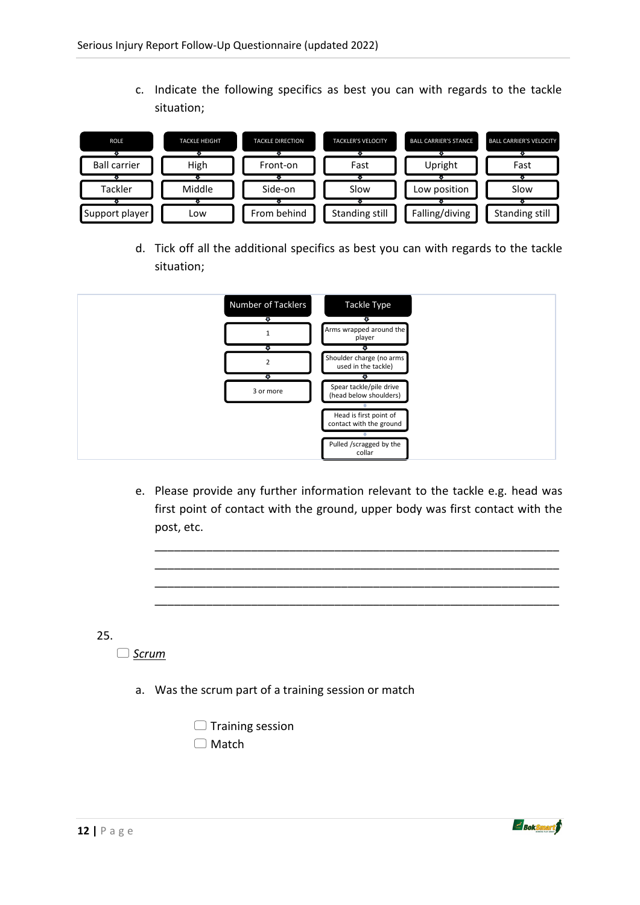c. Indicate the following specifics as best you can with regards to the tackle situation;



d. Tick off all the additional specifics as best you can with regards to the tackle situation;

| Number of Tacklers | Tackle Type                                       |  |
|--------------------|---------------------------------------------------|--|
|                    |                                                   |  |
| T                  | €<br>Arms wrapped around the<br>player            |  |
| ⊕                  | ▾                                                 |  |
| $\overline{2}$     | Shoulder charge (no arms<br>used in the tackle)   |  |
| ¢                  | ¢                                                 |  |
| 3 or more          | Spear tackle/pile drive<br>(head below shoulders) |  |
|                    |                                                   |  |
|                    | Head is first point of<br>contact with the ground |  |
|                    |                                                   |  |
|                    | Pulled /scragged by the<br>collar                 |  |

e. Please provide any further information relevant to the tackle e.g. head was first point of contact with the ground, upper body was first contact with the post, etc.

\_\_\_\_\_\_\_\_\_\_\_\_\_\_\_\_\_\_\_\_\_\_\_\_\_\_\_\_\_\_\_\_\_\_\_\_\_\_\_\_\_\_\_\_\_\_\_\_\_\_\_\_\_\_\_\_\_\_\_\_\_\_\_ \_\_\_\_\_\_\_\_\_\_\_\_\_\_\_\_\_\_\_\_\_\_\_\_\_\_\_\_\_\_\_\_\_\_\_\_\_\_\_\_\_\_\_\_\_\_\_\_\_\_\_\_\_\_\_\_\_\_\_\_\_\_\_ \_\_\_\_\_\_\_\_\_\_\_\_\_\_\_\_\_\_\_\_\_\_\_\_\_\_\_\_\_\_\_\_\_\_\_\_\_\_\_\_\_\_\_\_\_\_\_\_\_\_\_\_\_\_\_\_\_\_\_\_\_\_\_ \_\_\_\_\_\_\_\_\_\_\_\_\_\_\_\_\_\_\_\_\_\_\_\_\_\_\_\_\_\_\_\_\_\_\_\_\_\_\_\_\_\_\_\_\_\_\_\_\_\_\_\_\_\_\_\_\_\_\_\_\_\_\_

25.

*Scrum*

a. Was the scrum part of a training session or match

 $\Box$  Training session □ Match

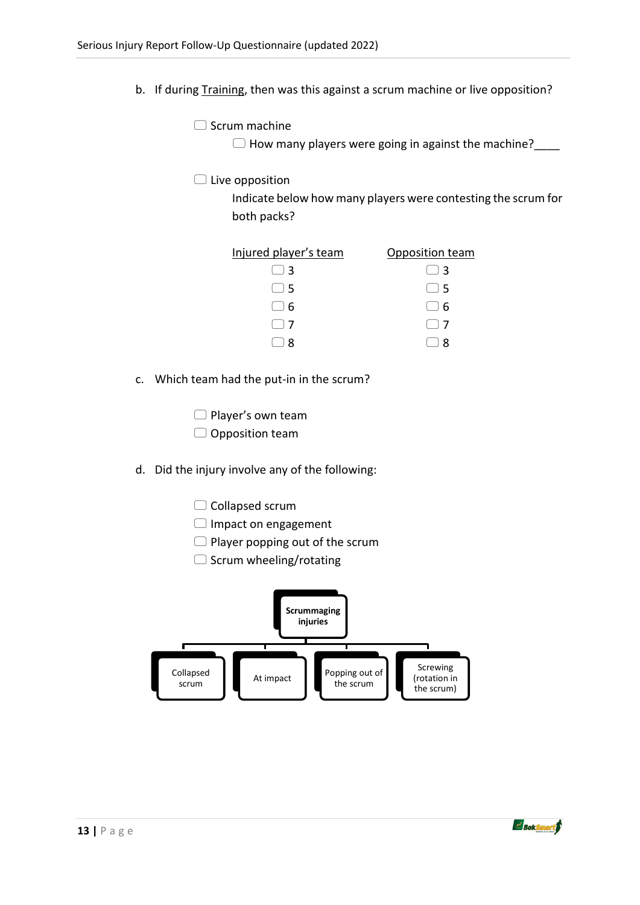b. If during Training, then was this against a scrum machine or live opposition?

 $\Box$  Scrum machine

 $\Box$  How many players were going in against the machine?

 $\Box$  Live opposition

Indicate below how many players were contesting the scrum for both packs?

| Injured player's team                           | Opposition team                                 |
|-------------------------------------------------|-------------------------------------------------|
| $\Box$ 3                                        | $\left( \begin{array}{c} \end{array} \right)$ 3 |
| $\left( \begin{array}{c} \end{array} \right)$ 5 | $\left( \begin{array}{c} \end{array} \right)$ 5 |
| ၊ 6                                             | $\Box$ 6                                        |
|                                                 | $\left  \quad \right $ 7                        |
|                                                 |                                                 |

c. Which team had the put-in in the scrum?

 $\Box$  Player's own team  $\Box$  Opposition team

- d. Did the injury involve any of the following:
	- $\Box$  Collapsed scrum
	- Impact on engagement
	- $\Box$  Player popping out of the scrum
	- $\Box$  Scrum wheeling/rotating



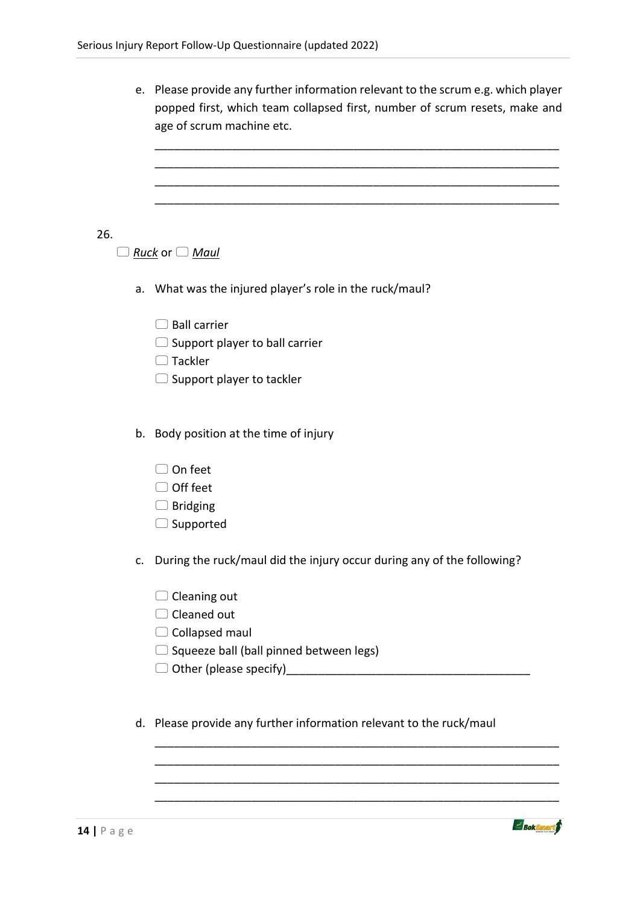|     |    | e. Please provide any further information relevant to the scrum e.g. which player<br>popped first, which team collapsed first, number of scrum resets, make and<br>age of scrum machine etc. |
|-----|----|----------------------------------------------------------------------------------------------------------------------------------------------------------------------------------------------|
|     |    |                                                                                                                                                                                              |
|     |    |                                                                                                                                                                                              |
|     |    |                                                                                                                                                                                              |
| 26. |    |                                                                                                                                                                                              |
|     |    | <u>Ruck</u> or $\Box$ <u>Maul</u>                                                                                                                                                            |
|     |    | a. What was the injured player's role in the ruck/maul?                                                                                                                                      |
|     |    | <b>Ball carrier</b>                                                                                                                                                                          |
|     |    | $\Box$ Support player to ball carrier                                                                                                                                                        |
|     |    | $\Box$ Tackler                                                                                                                                                                               |
|     |    | $\Box$ Support player to tackler                                                                                                                                                             |
|     |    | b. Body position at the time of injury                                                                                                                                                       |
|     |    | ⊃On feet                                                                                                                                                                                     |
|     |    | $\supset$ Off feet                                                                                                                                                                           |
|     |    | $\supset$ Bridging                                                                                                                                                                           |
|     |    | $\supset$ Supported                                                                                                                                                                          |
|     | C. | During the ruck/maul did the injury occur during any of the following?                                                                                                                       |
|     |    | Cleaning out                                                                                                                                                                                 |
|     |    | Cleaned out                                                                                                                                                                                  |
|     |    | Collapsed maul                                                                                                                                                                               |
|     |    | $\supset$ Squeeze ball (ball pinned between legs)                                                                                                                                            |
|     |    |                                                                                                                                                                                              |
|     |    | d. Please provide any further information relevant to the ruck/maul                                                                                                                          |

\_\_\_\_\_\_\_\_\_\_\_\_\_\_\_\_\_\_\_\_\_\_\_\_\_\_\_\_\_\_\_\_\_\_\_\_\_\_\_\_\_\_\_\_\_\_\_\_\_\_\_\_\_\_\_\_\_\_\_\_\_\_\_ \_\_\_\_\_\_\_\_\_\_\_\_\_\_\_\_\_\_\_\_\_\_\_\_\_\_\_\_\_\_\_\_\_\_\_\_\_\_\_\_\_\_\_\_\_\_\_\_\_\_\_\_\_\_\_\_\_\_\_\_\_\_\_ \_\_\_\_\_\_\_\_\_\_\_\_\_\_\_\_\_\_\_\_\_\_\_\_\_\_\_\_\_\_\_\_\_\_\_\_\_\_\_\_\_\_\_\_\_\_\_\_\_\_\_\_\_\_\_\_\_\_\_\_\_\_\_

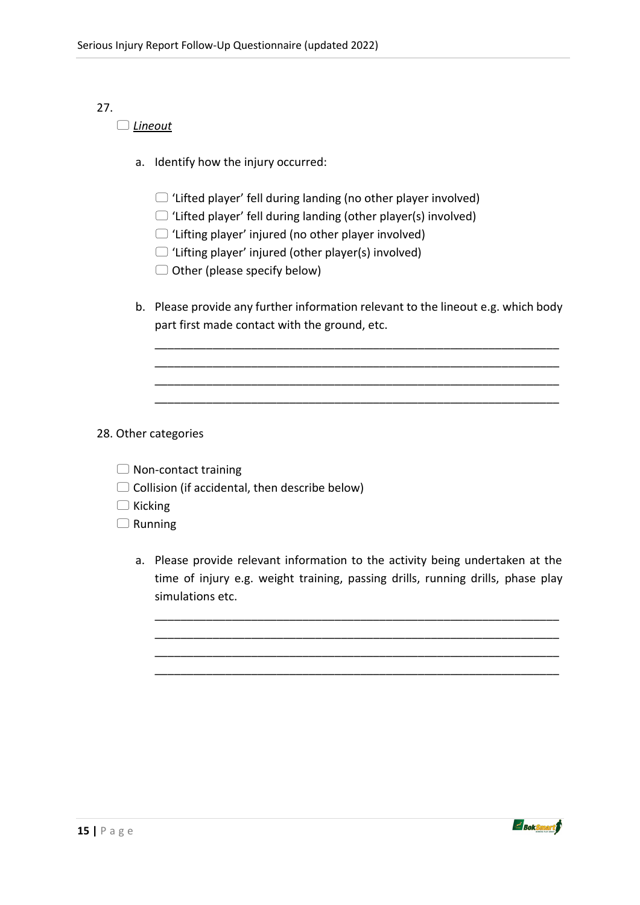# 27.

#### *Lineout*

- a. Identify how the injury occurred:
	- $\Box$  'Lifted player' fell during landing (no other player involved)
	- $\Box$  'Lifted player' fell during landing (other player(s) involved)
	- $\Box$  'Lifting player' injured (no other player involved)
	- $\Box$  'Lifting player' injured (other player(s) involved)
	- $\Box$  Other (please specify below)
- b. Please provide any further information relevant to the lineout e.g. which body part first made contact with the ground, etc.

\_\_\_\_\_\_\_\_\_\_\_\_\_\_\_\_\_\_\_\_\_\_\_\_\_\_\_\_\_\_\_\_\_\_\_\_\_\_\_\_\_\_\_\_\_\_\_\_\_\_\_\_\_\_\_\_\_\_\_\_\_\_\_ \_\_\_\_\_\_\_\_\_\_\_\_\_\_\_\_\_\_\_\_\_\_\_\_\_\_\_\_\_\_\_\_\_\_\_\_\_\_\_\_\_\_\_\_\_\_\_\_\_\_\_\_\_\_\_\_\_\_\_\_\_\_\_ \_\_\_\_\_\_\_\_\_\_\_\_\_\_\_\_\_\_\_\_\_\_\_\_\_\_\_\_\_\_\_\_\_\_\_\_\_\_\_\_\_\_\_\_\_\_\_\_\_\_\_\_\_\_\_\_\_\_\_\_\_\_\_ \_\_\_\_\_\_\_\_\_\_\_\_\_\_\_\_\_\_\_\_\_\_\_\_\_\_\_\_\_\_\_\_\_\_\_\_\_\_\_\_\_\_\_\_\_\_\_\_\_\_\_\_\_\_\_\_\_\_\_\_\_\_\_

28. Other categories

| $\Box$ Non-contact training |  |
|-----------------------------|--|
|-----------------------------|--|

- $\Box$  Collision (if accidental, then describe below)
- $\Box$  Kicking

 $\Box$  Running

a. Please provide relevant information to the activity being undertaken at the time of injury e.g. weight training, passing drills, running drills, phase play simulations etc.

\_\_\_\_\_\_\_\_\_\_\_\_\_\_\_\_\_\_\_\_\_\_\_\_\_\_\_\_\_\_\_\_\_\_\_\_\_\_\_\_\_\_\_\_\_\_\_\_\_\_\_\_\_\_\_\_\_\_\_\_\_\_\_ \_\_\_\_\_\_\_\_\_\_\_\_\_\_\_\_\_\_\_\_\_\_\_\_\_\_\_\_\_\_\_\_\_\_\_\_\_\_\_\_\_\_\_\_\_\_\_\_\_\_\_\_\_\_\_\_\_\_\_\_\_\_\_ \_\_\_\_\_\_\_\_\_\_\_\_\_\_\_\_\_\_\_\_\_\_\_\_\_\_\_\_\_\_\_\_\_\_\_\_\_\_\_\_\_\_\_\_\_\_\_\_\_\_\_\_\_\_\_\_\_\_\_\_\_\_\_ \_\_\_\_\_\_\_\_\_\_\_\_\_\_\_\_\_\_\_\_\_\_\_\_\_\_\_\_\_\_\_\_\_\_\_\_\_\_\_\_\_\_\_\_\_\_\_\_\_\_\_\_\_\_\_\_\_\_\_\_\_\_\_



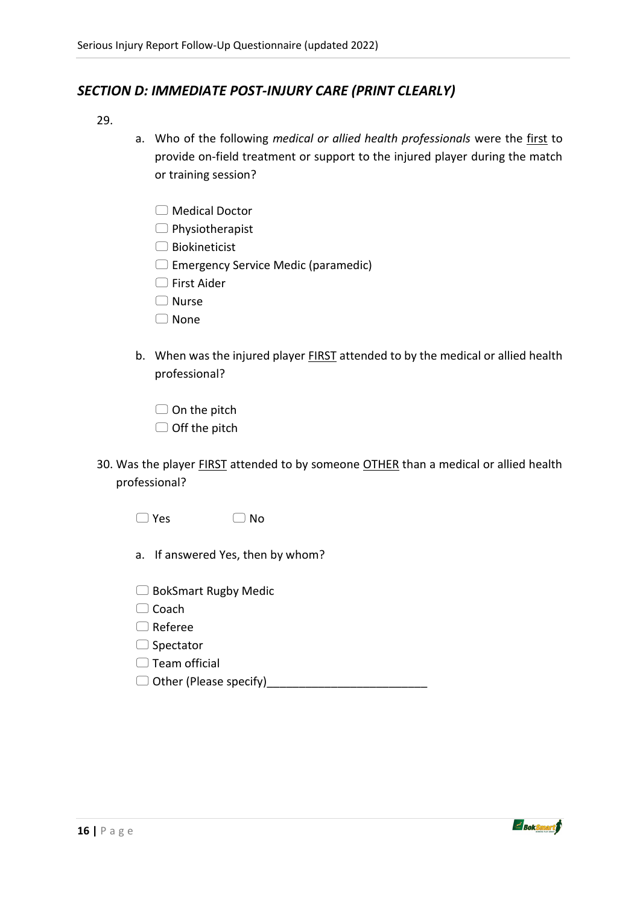## *SECTION D: IMMEDIATE POST-INJURY CARE (PRINT CLEARLY)*

- 29.
- a. Who of the following *medical or allied health professionals* were the first to provide on-field treatment or support to the injured player during the match or training session?
	- □ Medical Doctor
	- $\Box$  Physiotherapist
	- $\Box$  Biokineticist
	- $\Box$  Emergency Service Medic (paramedic)
	- □ First Aider
	- Nurse
	- □ None
- b. When was the injured player **FIRST** attended to by the medical or allied health professional?
	- $\Box$  On the pitch
	- $\Box$  Off the pitch
- 30. Was the player FIRST attended to by someone OTHER than a medical or allied health professional?
	- $\Box$  Yes  $\Box$  No
	- a. If answered Yes, then by whom?
	- □ BokSmart Rugby Medic
	- $\Box$  Coach
	- Referee
	- $\Box$  Spectator
	- $\Box$  Team official
	- $\Box$  Other (Please specify)

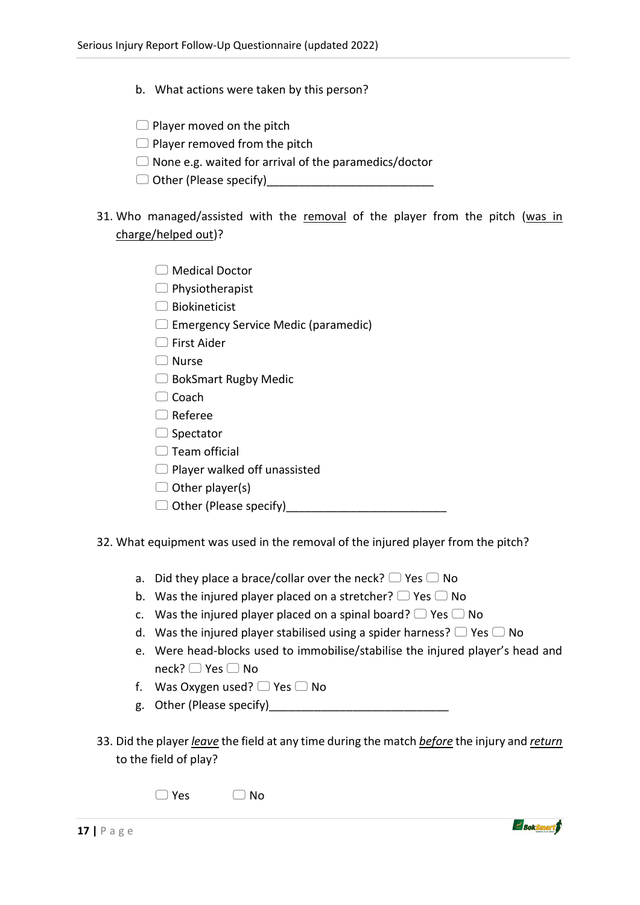- b. What actions were taken by this person?
- $\Box$  Player moved on the pitch
- $\Box$  Player removed from the pitch
- $\Box$  None e.g. waited for arrival of the paramedics/doctor
- $\Box$  Other (Please specify)
- 31. Who managed/assisted with the removal of the player from the pitch (was in charge/helped out)?
	- Medical Doctor
	- $\Box$  Physiotherapist
	- $\Box$  Biokineticist
	- $\Box$  Emergency Service Medic (paramedic)
	- $\Box$  First Aider
	- Nurse
	- □ BokSmart Rugby Medic
	- $\Box$  Coach
	- Referee
	- □ Spectator
	- $\Box$  Team official
	- $\Box$  Player walked off unassisted
	- $\Box$  Other player(s)
	- $\Box$  Other (Please specify)
- 32. What equipment was used in the removal of the injured player from the pitch?
	- a. Did they place a brace/collar over the neck?  $\Box$  Yes  $\Box$  No
	- b. Was the injured player placed on a stretcher?  $\Box$  Yes  $\Box$  No
	- c. Was the injured player placed on a spinal board?  $\Box$  Yes  $\Box$  No
	- d. Was the injured player stabilised using a spider harness?  $\Box$  Yes  $\Box$  No
	- e. Were head-blocks used to immobilise/stabilise the injured player's head and  $neck?$   $\Box$  Yes  $\Box$  No
	- f. Was Oxygen used?  $\Box$  Yes  $\Box$  No
	- g. Other (Please specify)
- 33. Did the player *leave* the field at any time during the match *before* the injury and *return* to the field of play?

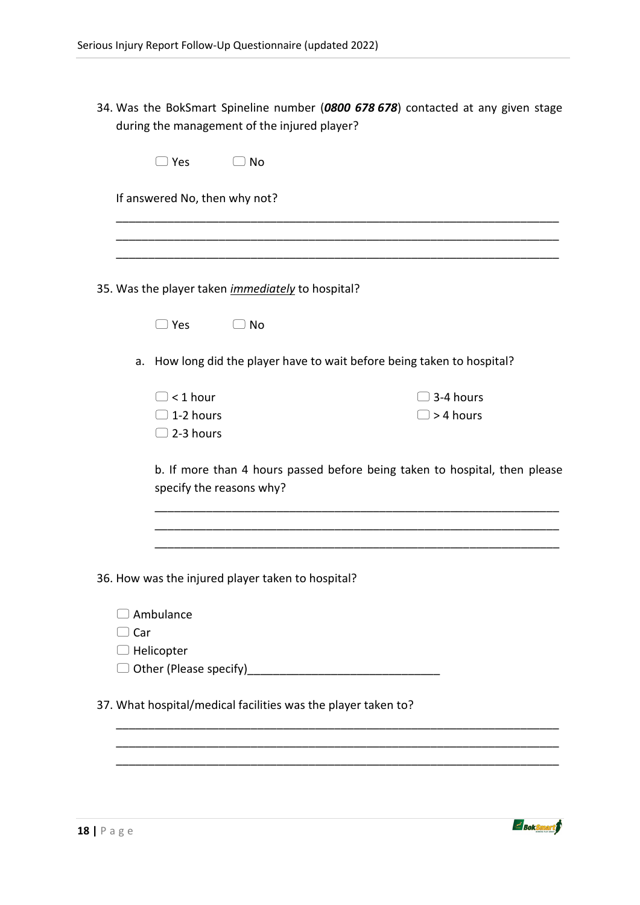34. Was the BokSmart Spineline number (*0800 678 678*) contacted at any given stage during the management of the injured player?

|     | __) Yes                                     | $\Box$ No                                                     |                                                                            |
|-----|---------------------------------------------|---------------------------------------------------------------|----------------------------------------------------------------------------|
|     | If answered No, then why not?               |                                                               |                                                                            |
|     |                                             |                                                               |                                                                            |
|     |                                             |                                                               |                                                                            |
|     |                                             | 35. Was the player taken <i>immediately</i> to hospital?      |                                                                            |
|     | $\Box$ Yes                                  | $\Box$ No                                                     |                                                                            |
|     |                                             |                                                               | a. How long did the player have to wait before being taken to hospital?    |
|     | $\Box$ < 1 hour                             |                                                               | $\Box$ 3-4 hours                                                           |
|     | $\Box$ 1-2 hours                            |                                                               | $\Box$ > 4 hours                                                           |
|     | $\Box$ 2-3 hours                            |                                                               |                                                                            |
|     | specify the reasons why?                    |                                                               | b. If more than 4 hours passed before being taken to hospital, then please |
|     |                                             |                                                               |                                                                            |
|     |                                             |                                                               |                                                                            |
|     |                                             | 36. How was the injured player taken to hospital?             |                                                                            |
|     | Ambulance                                   |                                                               |                                                                            |
| Car |                                             |                                                               |                                                                            |
|     | Helicopter<br>$\Box$ Other (Please specify) |                                                               |                                                                            |
|     |                                             |                                                               |                                                                            |
|     |                                             | 37. What hospital/medical facilities was the player taken to? |                                                                            |
|     |                                             |                                                               |                                                                            |
|     |                                             |                                                               |                                                                            |
|     |                                             |                                                               |                                                                            |

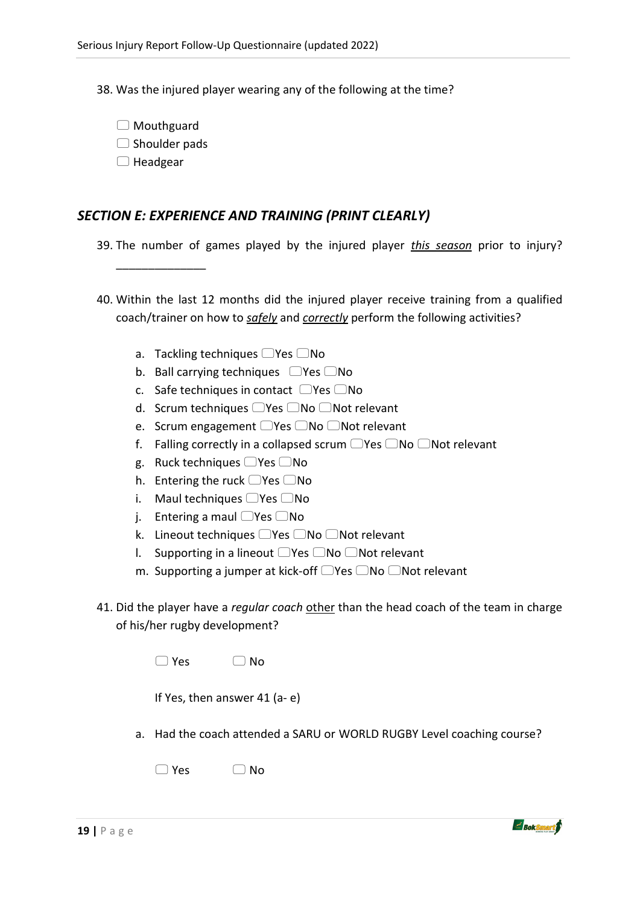38. Was the injured player wearing any of the following at the time?

- □ Mouthguard
- $\Box$  Shoulder pads

\_\_\_\_\_\_\_\_\_\_\_\_\_\_

 $\Box$  Headgear

## *SECTION E: EXPERIENCE AND TRAINING (PRINT CLEARLY)*

39. The number of games played by the injured player *this season* prior to injury?

- 40. Within the last 12 months did the injured player receive training from a qualified coach/trainer on how to *safely* and *correctly* perform the following activities?
	- a. Tackling techniques  $\Box$  Yes  $\Box$  No
	- b. Ball carrying techniques  $\Box$  Yes  $\Box$  No
	- c. Safe techniques in contact  $\Box$  Yes  $\Box$  No
	- d. Scrum techniques  $\Box$  Yes  $\Box$  No  $\Box$  Not relevant
	- e. Scrum engagement  $\Box$  Yes  $\Box$  No  $\Box$  Not relevant
	- f. Falling correctly in a collapsed scrum  $\Box$  Yes  $\Box$  No  $\Box$  Not relevant
	- g. Ruck techniques  $\Box$  Yes  $\Box$  No
	- h. Entering the ruck  $\Box$  Yes  $\Box$  No
	- i. Maul techniques  $\Box$  Yes  $\Box$  No
	- j. Entering a maul  $\Box$  Yes  $\Box$  No
	- k. Lineout techniques  $\Box$  Yes  $\Box$  No  $\Box$  Not relevant
	- I. Supporting in a lineout  $\Box$  Yes  $\Box$  No  $\Box$  Not relevant
	- m. Supporting a jumper at kick-off  $\Box$  Yes  $\Box$  No  $\Box$  Not relevant
- 41. Did the player have a *regular coach* other than the head coach of the team in charge of his/her rugby development?

| $\Box$ No |
|-----------|
|           |

|  |  | If Yes, then answer 41 (a-e) |  |  |  |
|--|--|------------------------------|--|--|--|
|--|--|------------------------------|--|--|--|

a. Had the coach attended a SARU or WORLD RUGBY Level coaching course?

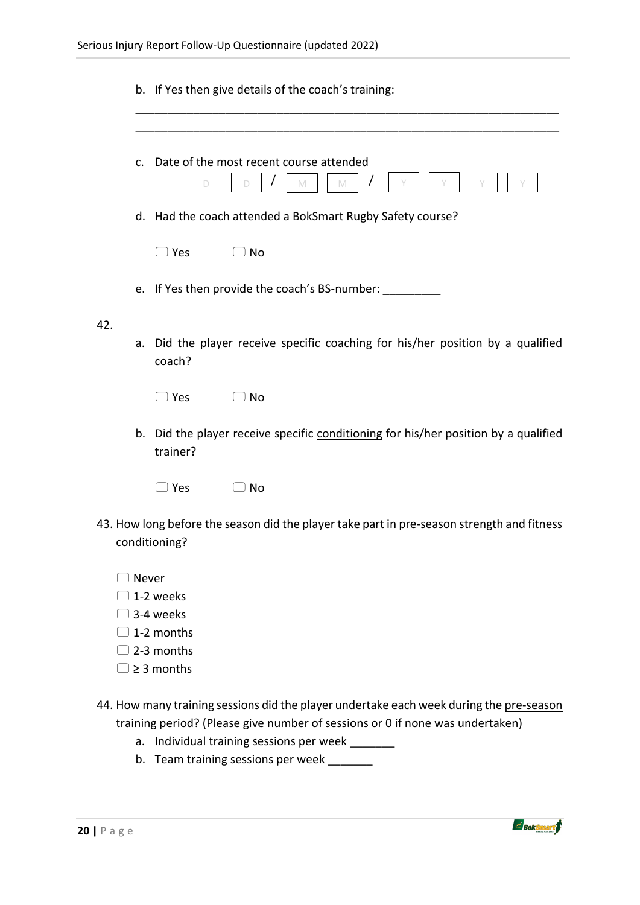|     |       |                               | b. If Yes then give details of the coach's training:                                       |
|-----|-------|-------------------------------|--------------------------------------------------------------------------------------------|
|     | C.    |                               | Date of the most recent course attended<br>$\mathbb N$<br>D<br>M                           |
|     |       |                               | d. Had the coach attended a BokSmart Rugby Safety course?                                  |
|     |       | $\supset$ Yes                 | $\Box$ No                                                                                  |
|     |       |                               | e. If Yes then provide the coach's BS-number: __________                                   |
| 42. |       |                               |                                                                                            |
|     |       | coach?                        | a. Did the player receive specific coaching for his/her position by a qualified            |
|     |       | ⊃ Yes                         | ]No                                                                                        |
|     |       | trainer?                      | b. Did the player receive specific conditioning for his/her position by a qualified        |
|     |       | $\Box$ Yes                    | $\Box$ No                                                                                  |
|     |       | conditioning?                 | 43. How long before the season did the player take part in pre-season strength and fitness |
|     | Never |                               |                                                                                            |
|     |       | 1-2 weeks                     |                                                                                            |
|     |       | 3-4 weeks                     |                                                                                            |
|     |       | 1-2 months                    |                                                                                            |
|     |       | 2-3 months<br>$\geq$ 3 months |                                                                                            |
|     |       |                               |                                                                                            |

44. How many training sessions did the player undertake each week during the pre-season training period? (Please give number of sessions or 0 if none was undertaken)

- a. Individual training sessions per week \_\_\_\_\_\_\_
- b. Team training sessions per week \_\_\_\_\_\_\_

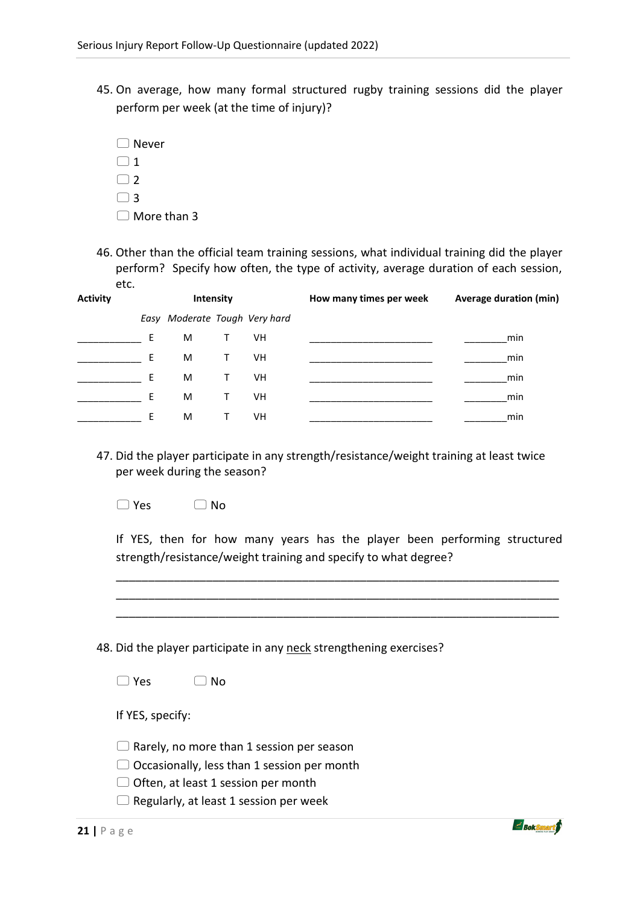- 45. On average, how many formal structured rugby training sessions did the player perform per week (at the time of injury)?
	- Never  $\bigcap$  1  $\Box$  2  $\bigcap$  3  $\Box$  More than 3
- 46. Other than the official team training sessions, what individual training did the player perform? Specify how often, the type of activity, average duration of each session, etc.

| <b>Activity</b> | <b>Intensity</b> |                               |              |           | How many times per week | <b>Average duration (min)</b> |
|-----------------|------------------|-------------------------------|--------------|-----------|-------------------------|-------------------------------|
|                 |                  | Easy Moderate Tough Very hard |              |           |                         |                               |
|                 | E                | M                             | T.           | VH        |                         | min                           |
|                 | F.               | M                             | T.           | VH        |                         | min                           |
|                 | E.               | M                             | T.           | VH        |                         | min                           |
|                 | F                | M                             | Τ            | <b>VH</b> |                         | min                           |
|                 | F                | M                             | $\mathbf{I}$ | VH        |                         | min                           |

47. Did the player participate in any strength/resistance/weight training at least twice per week during the season?

 $\bigcap$  Yes  $\bigcap$  No.

If YES, then for how many years has the player been performing structured strength/resistance/weight training and specify to what degree?

\_\_\_\_\_\_\_\_\_\_\_\_\_\_\_\_\_\_\_\_\_\_\_\_\_\_\_\_\_\_\_\_\_\_\_\_\_\_\_\_\_\_\_\_\_\_\_\_\_\_\_\_\_\_\_\_\_\_\_\_\_\_\_\_\_\_\_\_\_ \_\_\_\_\_\_\_\_\_\_\_\_\_\_\_\_\_\_\_\_\_\_\_\_\_\_\_\_\_\_\_\_\_\_\_\_\_\_\_\_\_\_\_\_\_\_\_\_\_\_\_\_\_\_\_\_\_\_\_\_\_\_\_\_\_\_\_\_\_ \_\_\_\_\_\_\_\_\_\_\_\_\_\_\_\_\_\_\_\_\_\_\_\_\_\_\_\_\_\_\_\_\_\_\_\_\_\_\_\_\_\_\_\_\_\_\_\_\_\_\_\_\_\_\_\_\_\_\_\_\_\_\_\_\_\_\_\_\_

48. Did the player participate in any neck strengthening exercises?

If YES, specify:

- $\Box$  Rarely, no more than 1 session per season
- $\Box$  Occasionally, less than 1 session per month
- $\Box$  Often, at least 1 session per month
- $\Box$  Regularly, at least 1 session per week

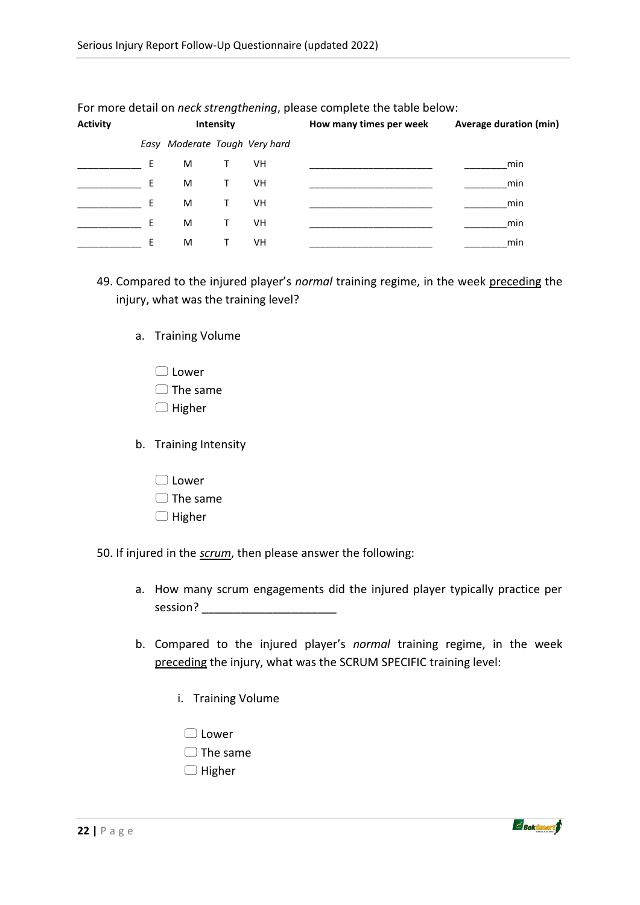| <b>Activity</b> |    |                               | Intensity    |    | How many times per week | <b>Average duration (min)</b> |
|-----------------|----|-------------------------------|--------------|----|-------------------------|-------------------------------|
|                 |    | Easy Moderate Tough Very hard |              |    |                         |                               |
|                 | E. | M                             | T.           | VH |                         | min                           |
|                 | E. | M                             | Τ            | VH |                         | min                           |
|                 | F  | M                             | Τ            | VH |                         | min                           |
|                 | E  | M                             | Τ            | VH |                         | min                           |
|                 | F  | M                             | $\mathbf{I}$ | VH |                         | min                           |

For more detail on *neck strengthening*, please complete the table below:

- 49. Compared to the injured player's *normal* training regime, in the week preceding the injury, what was the training level?
	- a. Training Volume
		- $\Box$ lower
		- $\Box$  The same
		- $\Box$  Higher
	- b. Training Intensity
		- $\Box$  Lower
		- $\Box$  The same
		- $\Box$  Higher

50. If injured in the *scrum*, then please answer the following:

- a. How many scrum engagements did the injured player typically practice per session?
- b. Compared to the injured player's *normal* training regime, in the week preceding the injury, what was the SCRUM SPECIFIC training level:
	- i. Training Volume
		- □ Lower
		- $\Box$  The same
		- $\Box$  Higher

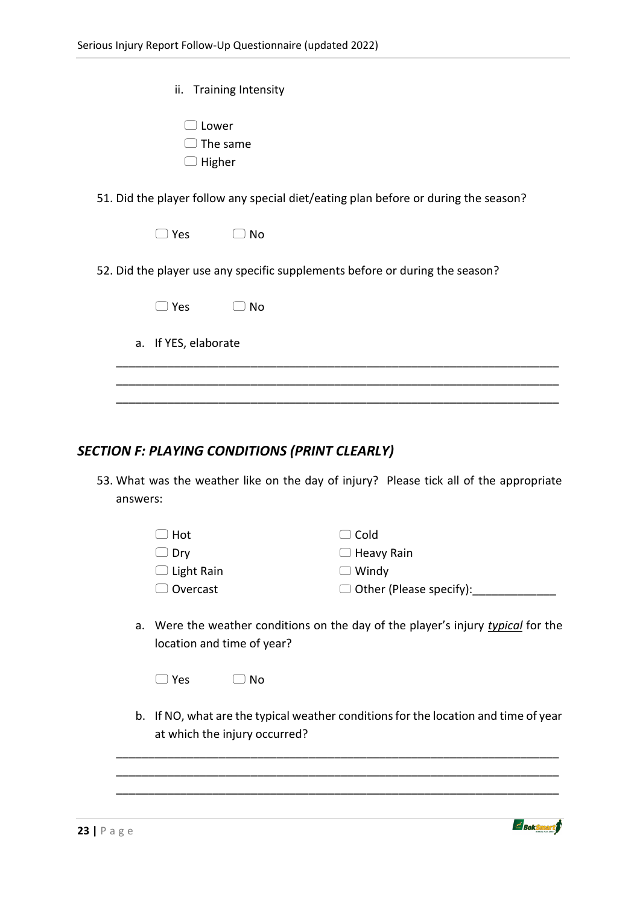| ii. Training Intensity                                                              |  |  |  |  |  |  |  |
|-------------------------------------------------------------------------------------|--|--|--|--|--|--|--|
| Lower<br>The same<br>Higher                                                         |  |  |  |  |  |  |  |
| 51. Did the player follow any special diet/eating plan before or during the season? |  |  |  |  |  |  |  |
| $\Box$ Yes<br>No                                                                    |  |  |  |  |  |  |  |
| 52. Did the player use any specific supplements before or during the season?        |  |  |  |  |  |  |  |
| $\supset$ Yes<br>No<br>$\sim$                                                       |  |  |  |  |  |  |  |
| a. If YES, elaborate                                                                |  |  |  |  |  |  |  |
|                                                                                     |  |  |  |  |  |  |  |
|                                                                                     |  |  |  |  |  |  |  |

### *SECTION F: PLAYING CONDITIONS (PRINT CLEARLY)*

53. What was the weather like on the day of injury? Please tick all of the appropriate answers:

| $\Box$ Hot        | $\Box$ Cold                    |
|-------------------|--------------------------------|
| $\Box$ Dry        | $\Box$ Heavy Rain              |
| $\Box$ Light Rain | $\Box$ Windy                   |
| $\Box$ Overcast   | $\Box$ Other (Please specify): |

a. Were the weather conditions on the day of the player's injury *typical* for the location and time of year?

| $\Box$ No<br>l Yes |  |
|--------------------|--|
|--------------------|--|

b. If NO, what are the typical weather conditions for the location and time of year at which the injury occurred?

\_\_\_\_\_\_\_\_\_\_\_\_\_\_\_\_\_\_\_\_\_\_\_\_\_\_\_\_\_\_\_\_\_\_\_\_\_\_\_\_\_\_\_\_\_\_\_\_\_\_\_\_\_\_\_\_\_\_\_\_\_\_\_\_\_\_\_\_\_ \_\_\_\_\_\_\_\_\_\_\_\_\_\_\_\_\_\_\_\_\_\_\_\_\_\_\_\_\_\_\_\_\_\_\_\_\_\_\_\_\_\_\_\_\_\_\_\_\_\_\_\_\_\_\_\_\_\_\_\_\_\_\_\_\_\_\_\_\_ \_\_\_\_\_\_\_\_\_\_\_\_\_\_\_\_\_\_\_\_\_\_\_\_\_\_\_\_\_\_\_\_\_\_\_\_\_\_\_\_\_\_\_\_\_\_\_\_\_\_\_\_\_\_\_\_\_\_\_\_\_\_\_\_\_\_\_\_\_

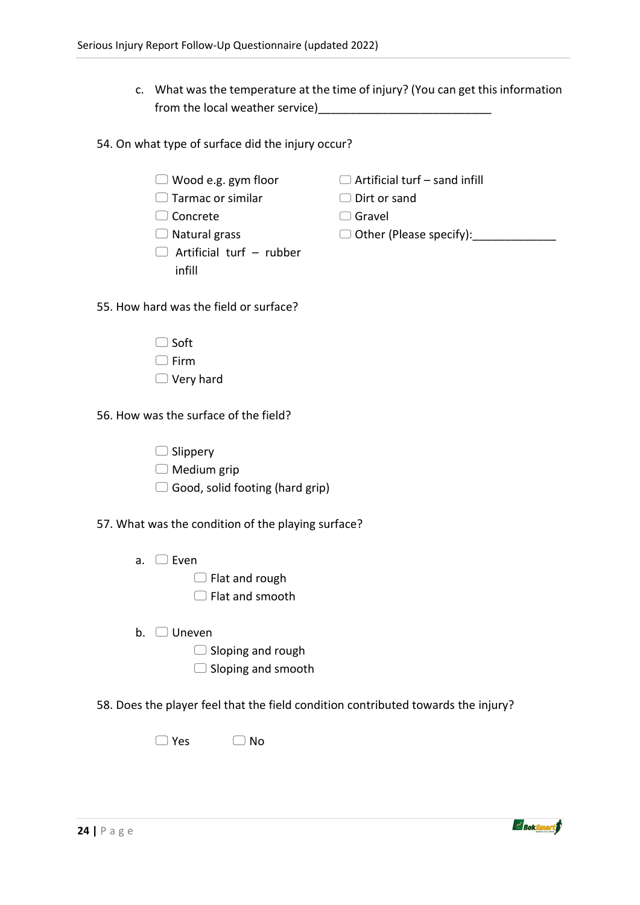- c. What was the temperature at the time of injury? (You can get this information from the local weather service)
- 54. On what type of surface did the injury occur?
	- Wood e.g. gym floor
	- □ Tarmac or similar
	- □ Concrete
	- $\Box$  Natural grass
	- $\Box$  Artificial turf rubber infill
- $\Box$  Artificial turf sand infill
	- Dirt or sand
	- □ Gravel
	- Other (Please specify):\_\_\_\_\_\_\_\_\_\_\_\_\_
- 55. How hard was the field or surface?
	- $\Box$  Soft
	- $\Box$  Firm
	- □ Very hard

56. How was the surface of the field?

- $\Box$  Slippery
- $\Box$  Medium grip
- $\Box$  Good, solid footing (hard grip)

57. What was the condition of the playing surface?

- a. Even
	- $\Box$  Flat and rough
	- $\Box$  Flat and smooth
- b. Uneven
	- $\Box$  Sloping and rough
	- $\Box$  Sloping and smooth

58. Does the player feel that the field condition contributed towards the injury?

 $\Box$  Yes  $\Box$  No

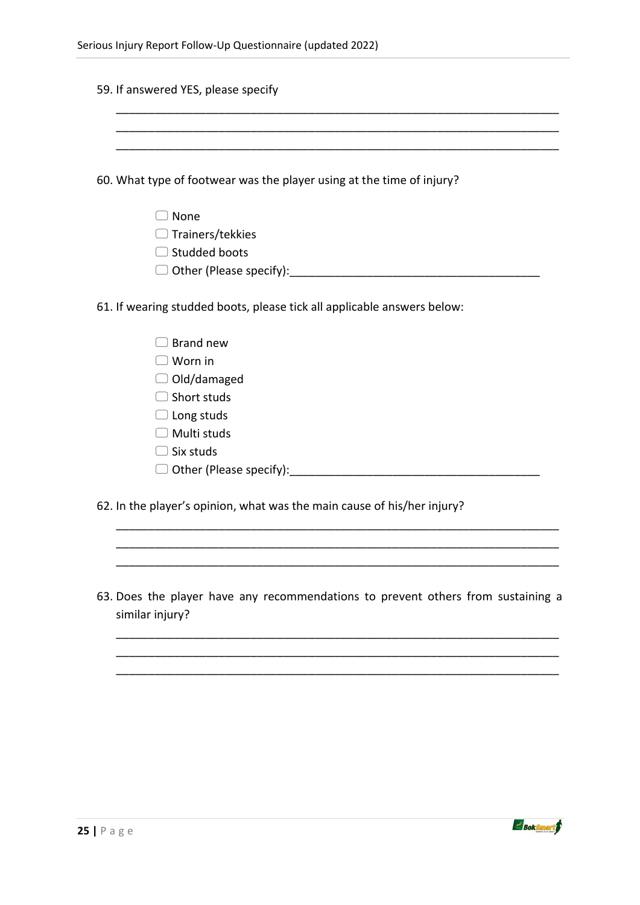| 60. What type of footwear was the player using at the time of injury?   |
|-------------------------------------------------------------------------|
| $\Box$ None                                                             |
| $\Box$ Trainers/tekkies                                                 |
| $\Box$ Studded boots                                                    |
|                                                                         |
| 61. If wearing studded boots, please tick all applicable answers below: |
| $\Box$ Brand new                                                        |
| $\Box$ Worn in                                                          |
| $\Box$ Old/damaged                                                      |
| $\Box$ Short studs                                                      |
| $\Box$ Long studs                                                       |
| $\Box$ Multi studs                                                      |
| $\Box$ Six studs                                                        |
| $\Box$ Other (Please specify):                                          |
| 62. In the player's opinion, what was the main cause of his/her injury? |

|                 |  |  |  |  |  | 63. Does the player have any recommendations to prevent others from sustaining a |  |
|-----------------|--|--|--|--|--|----------------------------------------------------------------------------------|--|
| similar injury? |  |  |  |  |  |                                                                                  |  |

\_\_\_\_\_\_\_\_\_\_\_\_\_\_\_\_\_\_\_\_\_\_\_\_\_\_\_\_\_\_\_\_\_\_\_\_\_\_\_\_\_\_\_\_\_\_\_\_\_\_\_\_\_\_\_\_\_\_\_\_\_\_\_\_\_\_\_\_\_ \_\_\_\_\_\_\_\_\_\_\_\_\_\_\_\_\_\_\_\_\_\_\_\_\_\_\_\_\_\_\_\_\_\_\_\_\_\_\_\_\_\_\_\_\_\_\_\_\_\_\_\_\_\_\_\_\_\_\_\_\_\_\_\_\_\_\_\_\_ \_\_\_\_\_\_\_\_\_\_\_\_\_\_\_\_\_\_\_\_\_\_\_\_\_\_\_\_\_\_\_\_\_\_\_\_\_\_\_\_\_\_\_\_\_\_\_\_\_\_\_\_\_\_\_\_\_\_\_\_\_\_\_\_\_\_\_\_\_



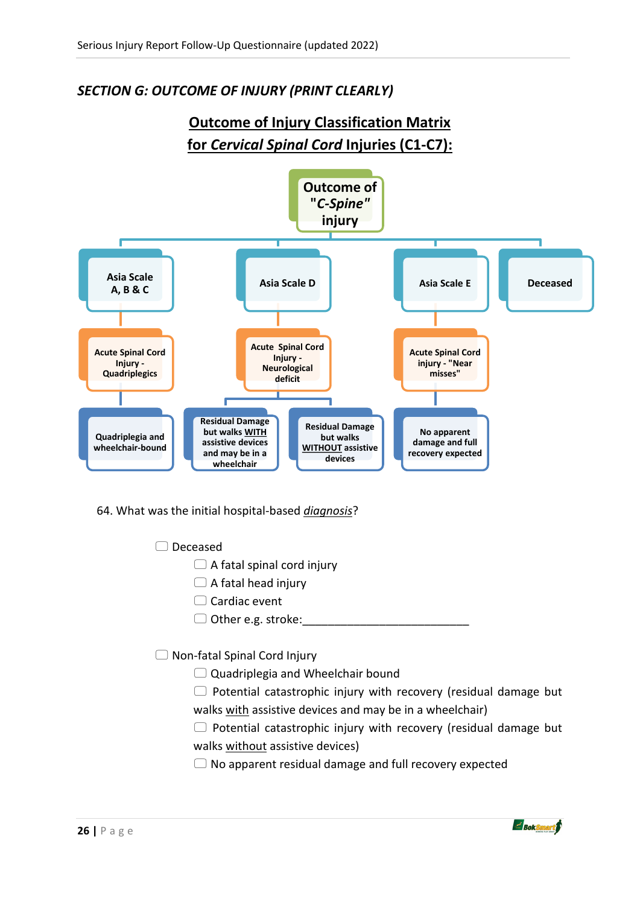# *SECTION G: OUTCOME OF INJURY (PRINT CLEARLY)*

# **Outcome of Injury Classification Matrix for** *Cervical Spinal Cord* **Injuries (C1-C7):**



64. What was the initial hospital-based *diagnosis*?

- □ Deceased
	- $\Box$  A fatal spinal cord injury
	- $\Box$  A fatal head injury
	- $\Box$  Cardiac event
	- $\Box$  Other e.g. stroke:
- □ Non-fatal Spinal Cord Injury
	- $\Box$  Quadriplegia and Wheelchair bound
	- $\Box$  Potential catastrophic injury with recovery (residual damage but walks with assistive devices and may be in a wheelchair)
	- $\Box$  Potential catastrophic injury with recovery (residual damage but walks without assistive devices)
	- $\Box$  No apparent residual damage and full recovery expected

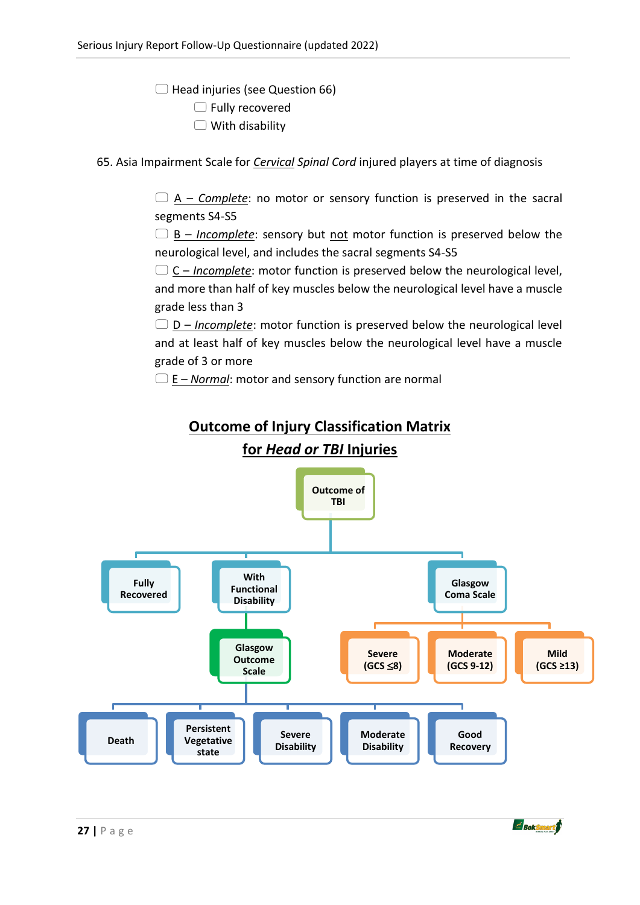$\Box$  Head injuries (see Question 66)  $\Box$  Fully recovered

 $\Box$  With disability

65. Asia Impairment Scale for *Cervical Spinal Cord* injured players at time of diagnosis

 $\Box$  A – *Complete*: no motor or sensory function is preserved in the sacral segments S4-S5

 B – *Incomplete*: sensory but not motor function is preserved below the neurological level, and includes the sacral segments S4-S5

 C – *Incomplete*: motor function is preserved below the neurological level, and more than half of key muscles below the neurological level have a muscle grade less than 3

 $\Box$  D – *Incomplete*: motor function is preserved below the neurological level and at least half of key muscles below the neurological level have a muscle grade of 3 or more

 $\Box$  E – *Normal*: motor and sensory function are normal



 $\leq$  BokSmart $\beta$ 

# **Outcome of Injury Classification Matrix**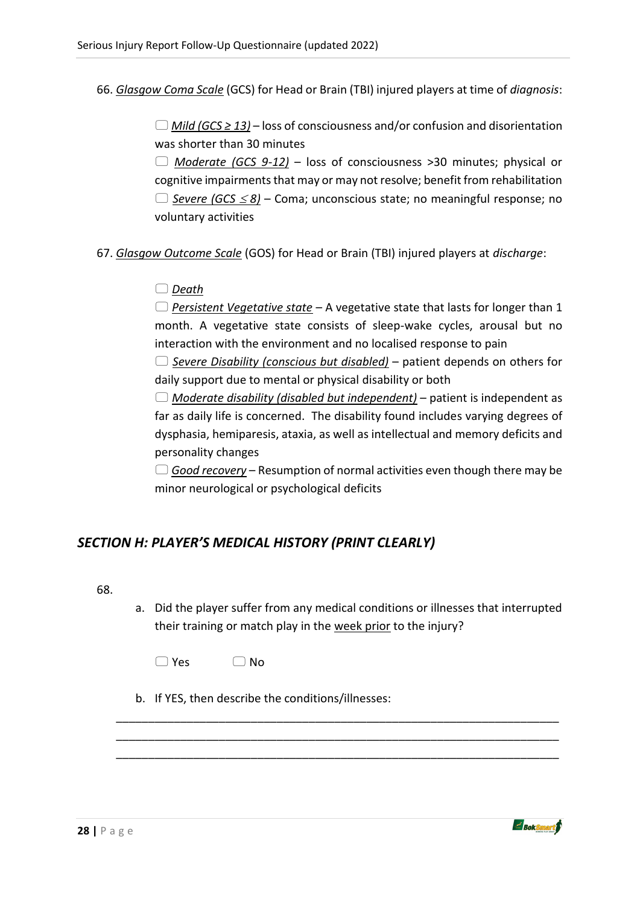66. *Glasgow Coma Scale* (GCS) for Head or Brain (TBI) injured players at time of *diagnosis*:

 *Mild (GCS ≥ 13)* – loss of consciousness and/or confusion and disorientation was shorter than 30 minutes

 *Moderate (GCS 9-12)* – loss of consciousness >30 minutes; physical or cognitive impairments that may or may not resolve; benefit from rehabilitation *Severe (GCS 8)* – Coma; unconscious state; no meaningful response; no voluntary activities

- 67. *Glasgow Outcome Scale* (GOS) for Head or Brain (TBI) injured players at *discharge*:
	- *Death*

 *Persistent Vegetative state* – A vegetative state that lasts for longer than 1 month. A vegetative state consists of sleep-wake cycles, arousal but no interaction with the environment and no localised response to pain

 *Severe Disability (conscious but disabled)* – patient depends on others for daily support due to mental or physical disability or both

 *Moderate disability (disabled but independent)* – patient is independent as far as daily life is concerned. The disability found includes varying degrees of dysphasia, hemiparesis, ataxia, as well as intellectual and memory deficits and personality changes

 *Good recovery* – Resumption of normal activities even though there may be minor neurological or psychological deficits

### *SECTION H: PLAYER'S MEDICAL HISTORY (PRINT CLEARLY)*

68.

a. Did the player suffer from any medical conditions or illnesses that interrupted their training or match play in the week prior to the injury?

\_\_\_\_\_\_\_\_\_\_\_\_\_\_\_\_\_\_\_\_\_\_\_\_\_\_\_\_\_\_\_\_\_\_\_\_\_\_\_\_\_\_\_\_\_\_\_\_\_\_\_\_\_\_\_\_\_\_\_\_\_\_\_\_\_\_\_\_\_ \_\_\_\_\_\_\_\_\_\_\_\_\_\_\_\_\_\_\_\_\_\_\_\_\_\_\_\_\_\_\_\_\_\_\_\_\_\_\_\_\_\_\_\_\_\_\_\_\_\_\_\_\_\_\_\_\_\_\_\_\_\_\_\_\_\_\_\_\_ \_\_\_\_\_\_\_\_\_\_\_\_\_\_\_\_\_\_\_\_\_\_\_\_\_\_\_\_\_\_\_\_\_\_\_\_\_\_\_\_\_\_\_\_\_\_\_\_\_\_\_\_\_\_\_\_\_\_\_\_\_\_\_\_\_\_\_\_\_

b. If YES, then describe the conditions/illnesses:



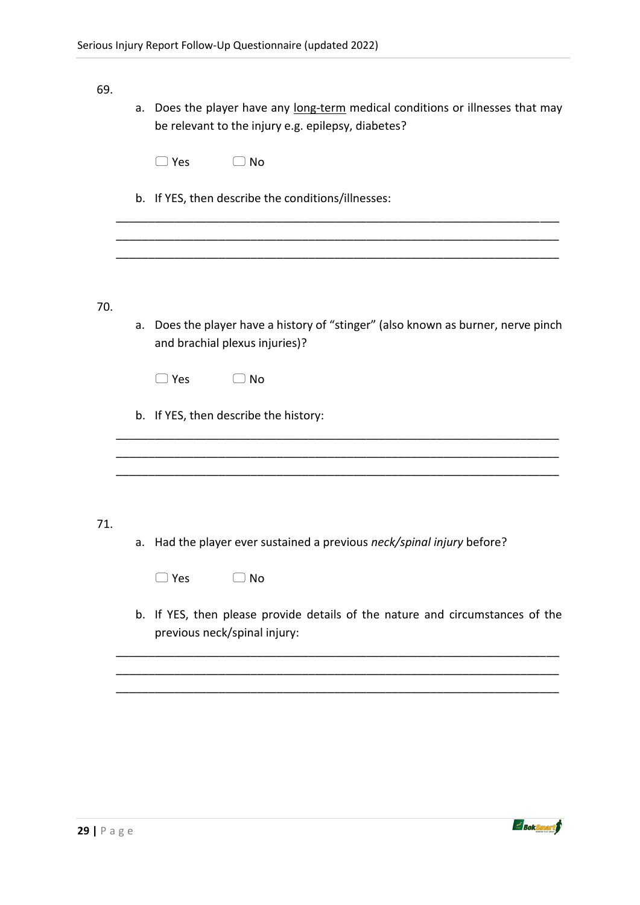#### 69.

| a. Does the player have any long-term medical conditions or illnesses that may |
|--------------------------------------------------------------------------------|
| be relevant to the injury e.g. epilepsy, diabetes?                             |

\_\_\_\_\_\_\_\_\_\_\_\_\_\_\_\_\_\_\_\_\_\_\_\_\_\_\_\_\_\_\_\_\_\_\_\_\_\_\_\_\_\_\_\_\_\_\_\_\_\_\_\_\_\_\_\_\_\_\_\_\_\_\_\_\_\_\_\_\_ \_\_\_\_\_\_\_\_\_\_\_\_\_\_\_\_\_\_\_\_\_\_\_\_\_\_\_\_\_\_\_\_\_\_\_\_\_\_\_\_\_\_\_\_\_\_\_\_\_\_\_\_\_\_\_\_\_\_\_\_\_\_\_\_\_\_\_\_\_ \_\_\_\_\_\_\_\_\_\_\_\_\_\_\_\_\_\_\_\_\_\_\_\_\_\_\_\_\_\_\_\_\_\_\_\_\_\_\_\_\_\_\_\_\_\_\_\_\_\_\_\_\_\_\_\_\_\_\_\_\_\_\_\_\_\_\_\_\_

| $\Box$ No |
|-----------|
|           |
|           |

b. If YES, then describe the conditions/illnesses:

70.

a. Does the player have a history of "stinger" (also known as burner, nerve pinch and brachial plexus injuries)?

 $\sim$  . The contribution of the contribution of the contribution of the contribution of the contribution of the contribution of the contribution of the contribution of the contribution of the contribution of the contributi

- $\Box$  Yes  $\Box$  No
- b. If YES, then describe the history:

#### 71.

a. Had the player ever sustained a previous *neck/spinal injury* before?

\_\_\_\_\_\_\_\_\_\_\_\_\_\_\_\_\_\_\_\_\_\_\_\_\_\_\_\_\_\_\_\_\_\_\_\_\_\_\_\_\_\_\_\_\_\_\_\_\_\_\_\_\_\_\_\_\_\_\_\_\_\_\_\_\_\_\_\_\_ \_\_\_\_\_\_\_\_\_\_\_\_\_\_\_\_\_\_\_\_\_\_\_\_\_\_\_\_\_\_\_\_\_\_\_\_\_\_\_\_\_\_\_\_\_\_\_\_\_\_\_\_\_\_\_\_\_\_\_\_\_\_\_\_\_\_\_\_\_

| $\Box$ No |
|-----------|
|           |

b. If YES, then please provide details of the nature and circumstances of the previous neck/spinal injury:

\_\_\_\_\_\_\_\_\_\_\_\_\_\_\_\_\_\_\_\_\_\_\_\_\_\_\_\_\_\_\_\_\_\_\_\_\_\_\_\_\_\_\_\_\_\_\_\_\_\_\_\_\_\_\_\_\_\_\_\_\_\_\_\_\_\_\_\_\_ \_\_\_\_\_\_\_\_\_\_\_\_\_\_\_\_\_\_\_\_\_\_\_\_\_\_\_\_\_\_\_\_\_\_\_\_\_\_\_\_\_\_\_\_\_\_\_\_\_\_\_\_\_\_\_\_\_\_\_\_\_\_\_\_\_\_\_\_\_ \_\_\_\_\_\_\_\_\_\_\_\_\_\_\_\_\_\_\_\_\_\_\_\_\_\_\_\_\_\_\_\_\_\_\_\_\_\_\_\_\_\_\_\_\_\_\_\_\_\_\_\_\_\_\_\_\_\_\_\_\_\_\_\_\_\_\_\_\_

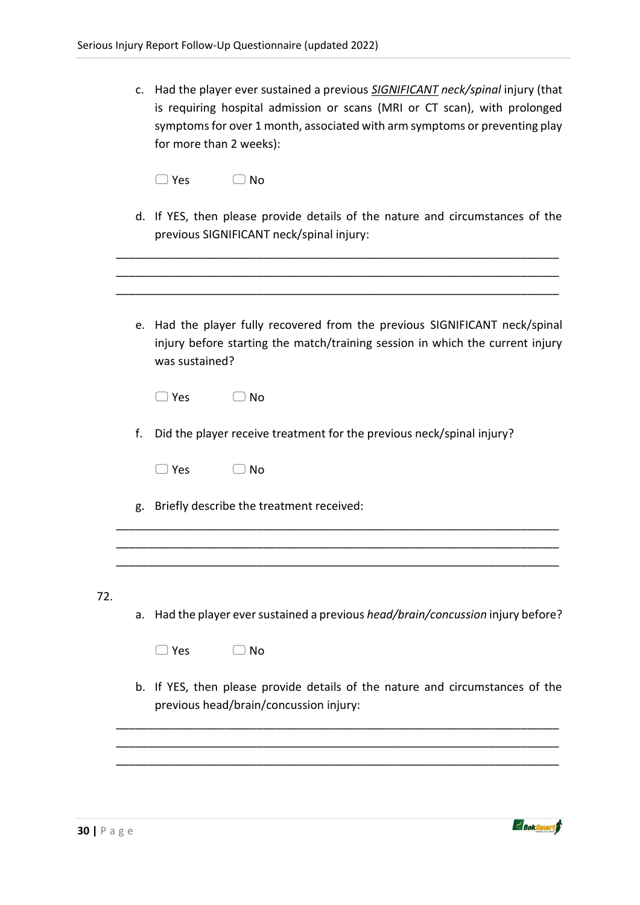| c. Had the player ever sustained a previous SIGNIFICANT neck/spinal injury (that |
|----------------------------------------------------------------------------------|
| is requiring hospital admission or scans (MRI or CT scan), with prolonged        |
| symptoms for over 1 month, associated with arm symptoms or preventing play       |
| for more than 2 weeks):                                                          |

d. If YES, then please provide details of the nature and circumstances of the previous SIGNIFICANT neck/spinal injury:

\_\_\_\_\_\_\_\_\_\_\_\_\_\_\_\_\_\_\_\_\_\_\_\_\_\_\_\_\_\_\_\_\_\_\_\_\_\_\_\_\_\_\_\_\_\_\_\_\_\_\_\_\_\_\_\_\_\_\_\_\_\_\_\_\_\_\_\_\_

|           | e. Had the player fully recovered from the previous SIGNIFICANT neck/spinal<br>injury before starting the match/training session in which the current injury<br>was sustained? |
|-----------|--------------------------------------------------------------------------------------------------------------------------------------------------------------------------------|
|           | $\Box$ Yes<br>_) No                                                                                                                                                            |
| f.        | Did the player receive treatment for the previous neck/spinal injury?                                                                                                          |
|           | $\Box$ Yes<br>$\supset$ No                                                                                                                                                     |
| g.        | Briefly describe the treatment received:                                                                                                                                       |
|           |                                                                                                                                                                                |
| 72.<br>a. | Had the player ever sustained a previous head/brain/concussion injury before?                                                                                                  |
|           | $\supset$ Yes<br>$\supset$ No                                                                                                                                                  |
|           | b. If YES, then please provide details of the nature and circumstances of the<br>previous head/brain/concussion injury:                                                        |